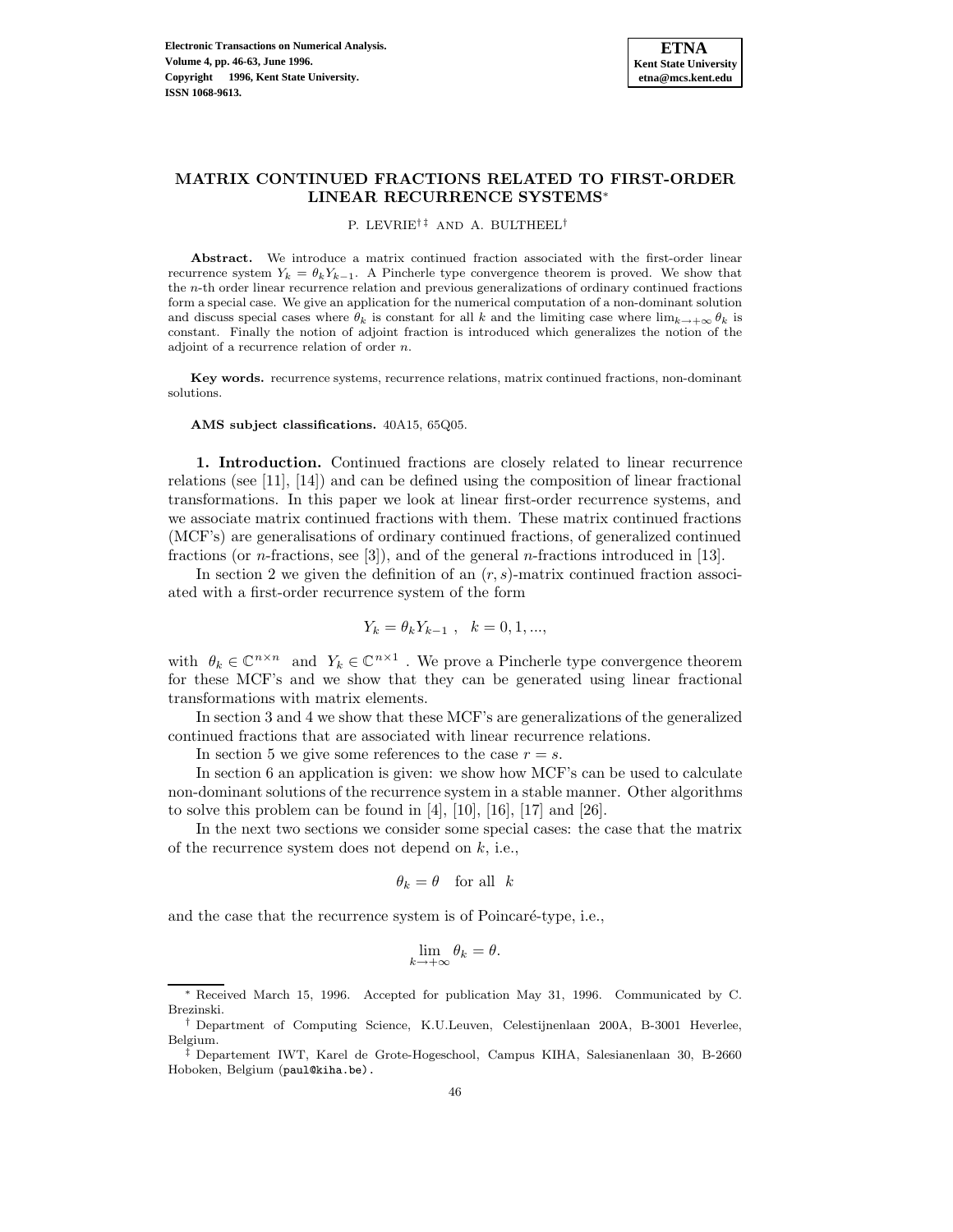# **MATRIX CONTINUED FRACTIONS RELATED TO FIRST-ORDER LINEAR RECURRENCE SYSTEMS**<sup>∗</sup>

P. LEVRIE<sup>†‡</sup> AND A. BULTHEEL<sup>†</sup>

**Abstract.** We introduce a matrix continued fraction associated with the first-order linear recurrence system  $Y_k = \theta_k Y_{k-1}$ . A Pincherle type convergence theorem is proved. We show that the n-th order linear recurrence relation and previous generalizations of ordinary continued fractions form a special case. We give an application for the numerical computation of a non-dominant solution and discuss special cases where  $\theta_k$  is constant for all k and the limiting case where  $\lim_{k\to+\infty}\theta_k$  is constant. Finally the notion of adjoint fraction is introduced which generalizes the notion of the adjoint of a recurrence relation of order n.

**Key words.** recurrence systems, recurrence relations, matrix continued fractions, non-dominant solutions.

**AMS subject classifications.** 40A15, 65Q05.

**1. Introduction.** Continued fractions are closely related to linear recurrence relations (see [11], [14]) and can be defined using the composition of linear fractional transformations. In this paper we look at linear first-order recurrence systems, and we associate matrix continued fractions with them. These matrix continued fractions (MCF's) are generalisations of ordinary continued fractions, of generalized continued fractions (or n-fractions, see [3]), and of the general n-fractions introduced in [13].

In section 2 we given the definition of an  $(r, s)$ -matrix continued fraction associated with a first-order recurrence system of the form

$$
Y_k = \theta_k Y_{k-1} \ , \quad k = 0, 1, ...,
$$

with  $\theta_k \in \mathbb{C}^{n \times n}$  and  $Y_k \in \mathbb{C}^{n \times 1}$ . We prove a Pincherle type convergence theorem for these MCF's and we show that they can be generated using linear fractional transformations with matrix elements.

In section 3 and 4 we show that these MCF's are generalizations of the generalized continued fractions that are associated with linear recurrence relations.

In section 5 we give some references to the case  $r = s$ .

In section 6 an application is given: we show how MCF's can be used to calculate non-dominant solutions of the recurrence system in a stable manner. Other algorithms to solve this problem can be found in  $[4]$ ,  $[10]$ ,  $[16]$ ,  $[17]$  and  $[26]$ .

In the next two sections we consider some special cases: the case that the matrix of the recurrence system does not depend on  $k$ , i.e.,

$$
\theta_k = \theta \quad \text{for all} \ \ k
$$

and the case that the recurrence system is of Poincaré-type, i.e.,

$$
\lim_{k \to +\infty} \theta_k = \theta.
$$

Received March 15, 1996. Accepted for publication May 31, 1996. Communicated by C. Brezinski.

<sup>†</sup> Department of Computing Science, K.U.Leuven, Celestijnenlaan 200A, B-3001 Heverlee, Belgium.

<sup>‡</sup> Departement IWT, Karel de Grote-Hogeschool, Campus KIHA, Salesianenlaan 30, B-2660 Hoboken, Belgium (paul@kiha.be).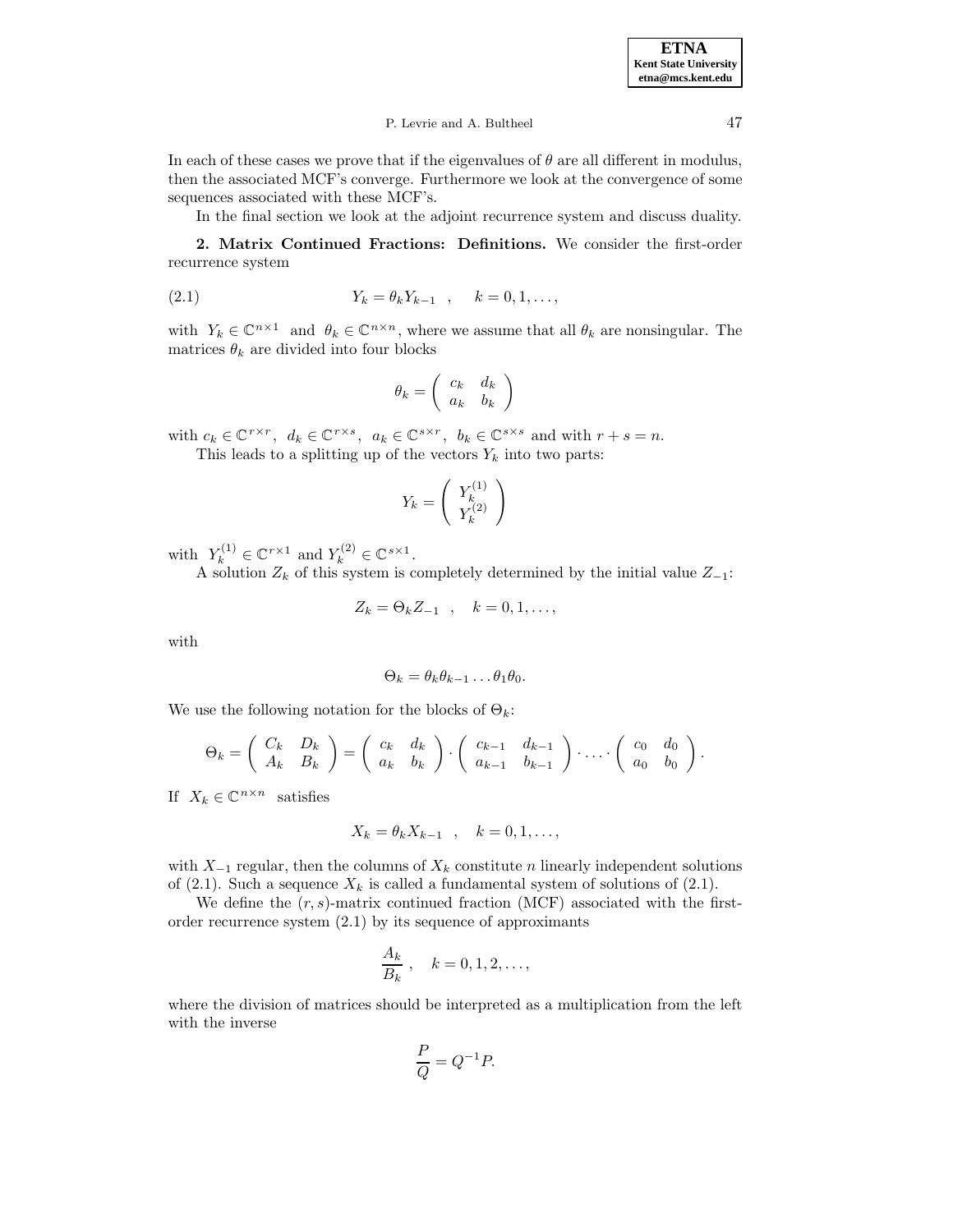In each of these cases we prove that if the eigenvalues of  $\theta$  are all different in modulus, then the associated MCF's converge. Furthermore we look at the convergence of some sequences associated with these MCF's.

In the final section we look at the adjoint recurrence system and discuss duality.

**2. Matrix Continued Fractions: Definitions.** We consider the first-order recurrence system

(2.1) 
$$
Y_k = \theta_k Y_{k-1} , \quad k = 0, 1, ...,
$$

with  $Y_k \in \mathbb{C}^{n \times 1}$  and  $\theta_k \in \mathbb{C}^{n \times n}$ , where we assume that all  $\theta_k$  are nonsingular. The matrices  $\theta_k$  are divided into four blocks

$$
\theta_k = \left( \begin{array}{cc} c_k & d_k \\ a_k & b_k \end{array} \right)
$$

with  $c_k \in \mathbb{C}^{r \times r}$ ,  $d_k \in \mathbb{C}^{r \times s}$ ,  $a_k \in \mathbb{C}^{s \times r}$ ,  $b_k \in \mathbb{C}^{s \times s}$  and with  $r + s = n$ .

This leads to a splitting up of the vectors  $Y_k$  into two parts:

$$
Y_k = \left(\begin{array}{c} Y_k^{(1)} \\ Y_k^{(2)} \end{array}\right)
$$

with  $Y_k^{(1)} \in \mathbb{C}^{r \times 1}$  and  $Y_k^{(2)} \in \mathbb{C}^{s \times 1}$ .

A solution  $Z_k$  of this system is completely determined by the initial value  $Z_{-1}$ :

$$
Z_k = \Theta_k Z_{-1} \quad , \quad k = 0, 1, \ldots,
$$

with

$$
\Theta_k = \theta_k \theta_{k-1} \dots \theta_1 \theta_0.
$$

We use the following notation for the blocks of  $\Theta_k$ :

$$
\Theta_k = \left( \begin{array}{cc} C_k & D_k \\ A_k & B_k \end{array} \right) = \left( \begin{array}{cc} c_k & d_k \\ a_k & b_k \end{array} \right) \cdot \left( \begin{array}{cc} c_{k-1} & d_{k-1} \\ a_{k-1} & b_{k-1} \end{array} \right) \cdot \ldots \cdot \left( \begin{array}{cc} c_0 & d_0 \\ a_0 & b_0 \end{array} \right).
$$

If  $X_k \in \mathbb{C}^{n \times n}$  satisfies

$$
X_k = \theta_k X_{k-1} \quad , \quad k = 0, 1, \dots,
$$

with  $X_{-1}$  regular, then the columns of  $X_k$  constitute n linearly independent solutions of (2.1). Such a sequence  $X_k$  is called a fundamental system of solutions of (2.1).

We define the  $(r, s)$ -matrix continued fraction (MCF) associated with the firstorder recurrence system (2.1) by its sequence of approximants

$$
\frac{A_k}{B_k}, \quad k = 0, 1, 2, \dots,
$$

where the division of matrices should be interpreted as a multiplication from the left with the inverse

$$
\frac{P}{Q} = Q^{-1}P.
$$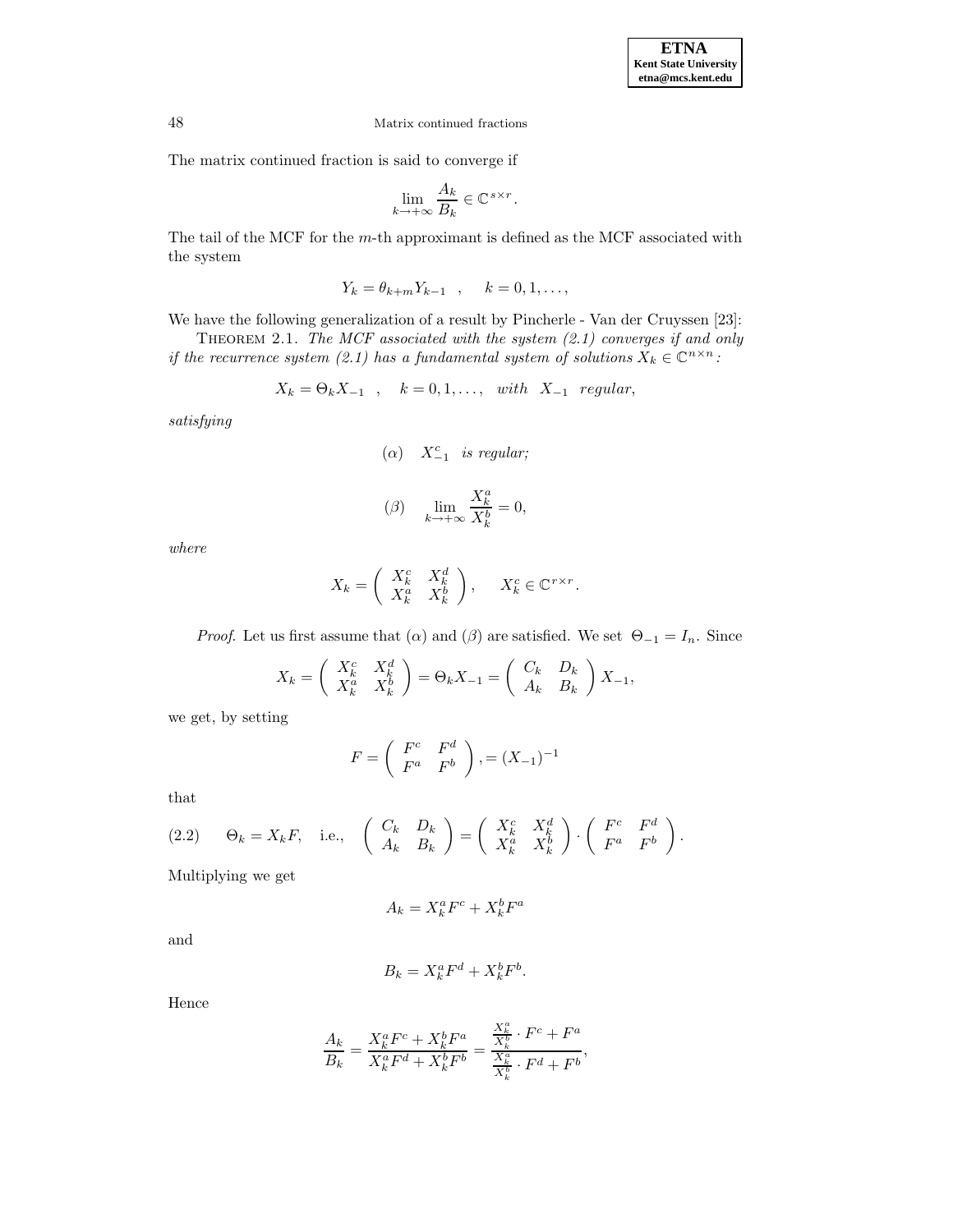The matrix continued fraction is said to converge if

$$
\lim_{k \to +\infty} \frac{A_k}{B_k} \in \mathbb{C}^{s \times r}.
$$

The tail of the MCF for the m-th approximant is defined as the MCF associated with the system

$$
Y_k = \theta_{k+m} Y_{k-1} \quad , \quad k = 0, 1, \ldots,
$$

We have the following generalization of a result by Pincherle - Van der Cruyssen [23]:

THEOREM 2.1. The MCF associated with the system  $(2.1)$  converges if and only if the recurrence system (2.1) has a fundamental system of solutions  $X_k \in \mathbb{C}^{n \times n}$ :

$$
X_k = \Theta_k X_{-1} \quad , \quad k = 0, 1, \dots, \text{ with } X_{-1} \text{ regular},
$$

satisfying

$$
(\alpha) \quad X_{-1}^c \quad is \ regular;
$$

$$
(\beta) \quad \lim_{k \to +\infty} \frac{X_k^a}{X_k^b} = 0,
$$

where

$$
X_k = \begin{pmatrix} X_k^c & X_k^d \\ X_k^a & X_k^b \end{pmatrix}, \quad X_k^c \in \mathbb{C}^{r \times r}.
$$

*Proof.* Let us first assume that  $(\alpha)$  and  $(\beta)$  are satisfied. We set  $\Theta_{-1} = I_n$ . Since

$$
X_k = \begin{pmatrix} X_k^c & X_k^d \ X_k^a & X_k^b \end{pmatrix} = \Theta_k X_{-1} = \begin{pmatrix} C_k & D_k \ A_k & B_k \end{pmatrix} X_{-1},
$$

we get, by setting

$$
F = \left(\begin{array}{cc} F^c & F^d \\ F^a & F^b \end{array}\right), = (X_{-1})^{-1}
$$

that

(2.2) 
$$
\Theta_k = X_k F
$$
, i.e.,  $\begin{pmatrix} C_k & D_k \ A_k & B_k \end{pmatrix} = \begin{pmatrix} X_k^c & X_k^d \ X_k^a & X_k^b \end{pmatrix} \cdot \begin{pmatrix} F^c & F^d \ F^a & F^b \end{pmatrix}$ .

Multiplying we get

$$
A_k = X_k^a F^c + X_k^b F^a
$$

and

$$
B_k = X_k^a F^d + X_k^b F^b.
$$

Hence

$$
\frac{A_k}{B_k} = \frac{X_k^a F^c + X_k^b F^a}{X_k^a F^d + X_k^b F^b} = \frac{\frac{X_k^a}{X_k^b} \cdot F^c + F^a}{\frac{X_k^a}{X_k^b} \cdot F^d + F^b},
$$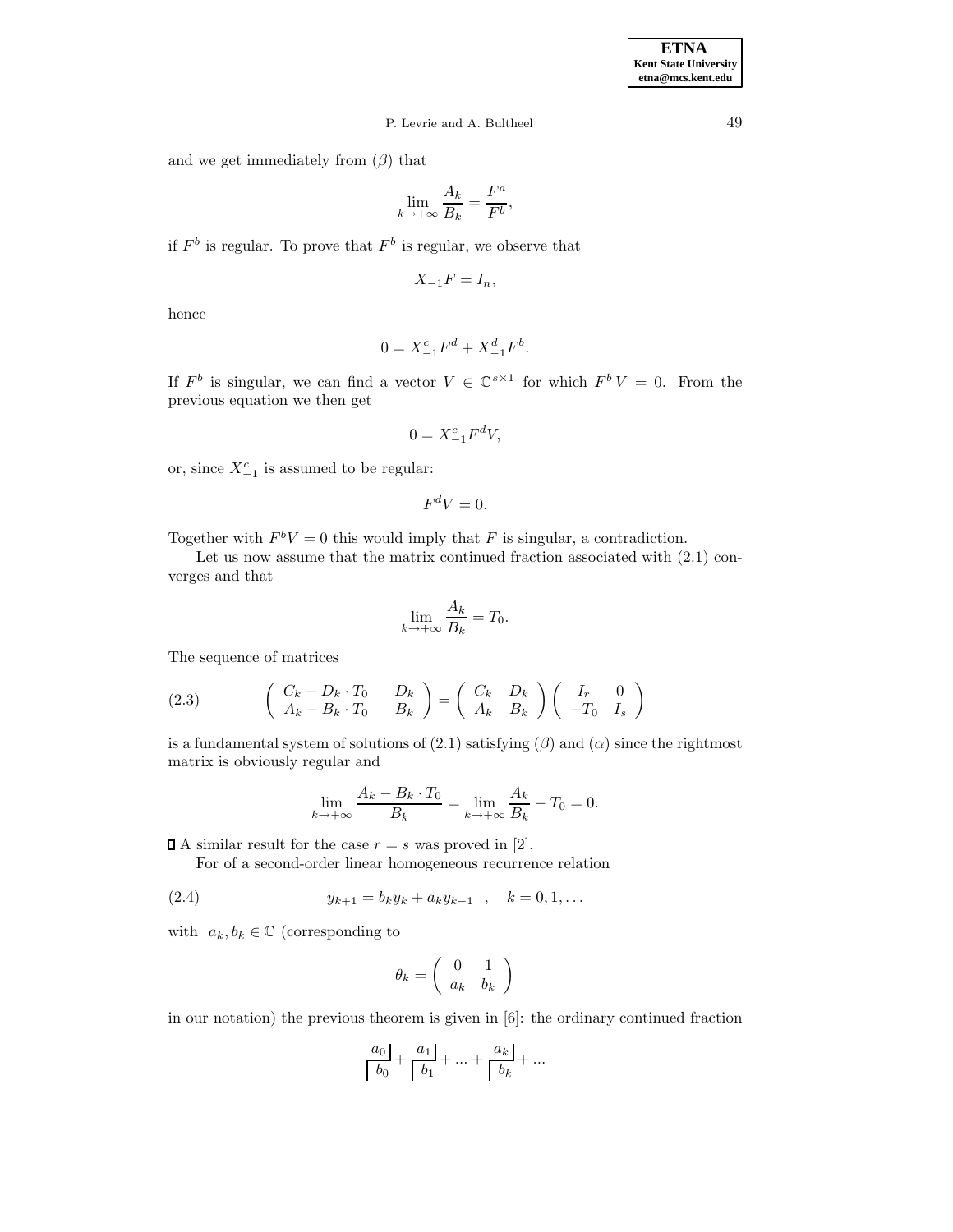# P. Levrie and A. Bultheel 49

and we get immediately from  $(\beta)$  that

$$
\lim_{k \to +\infty} \frac{A_k}{B_k} = \frac{F^a}{F^b},
$$

if  $F^b$  is regular. To prove that  $F^b$  is regular, we observe that

$$
X_{-1}F = I_n,
$$

hence

$$
0 = X_{-1}^c F^d + X_{-1}^d F^b.
$$

If  $F^b$  is singular, we can find a vector  $V \in \mathbb{C}^{s \times 1}$  for which  $F^b V = 0$ . From the previous equation we then get

$$
0 = X_{-1}^c F^d V,
$$

or, since  $X_{-1}^c$  is assumed to be regular:

$$
F^dV=0.
$$

Together with  $F^bV = 0$  this would imply that F is singular, a contradiction.

Let us now assume that the matrix continued fraction associated with  $(2.1)$  converges and that

$$
\lim_{k \to +\infty} \frac{A_k}{B_k} = T_0.
$$

The sequence of matrices

(2.3) 
$$
\begin{pmatrix} C_k - D_k \cdot T_0 & D_k \ A_k - B_k \cdot T_0 & B_k \end{pmatrix} = \begin{pmatrix} C_k & D_k \ A_k & B_k \end{pmatrix} \begin{pmatrix} I_r & 0 \ -T_0 & I_s \end{pmatrix}
$$

is a fundamental system of solutions of  $(2.1)$  satisfying  $(\beta)$  and  $(\alpha)$  since the rightmost matrix is obviously regular and

$$
\lim_{k \to +\infty} \frac{A_k - B_k \cdot T_0}{B_k} = \lim_{k \to +\infty} \frac{A_k}{B_k} - T_0 = 0.
$$

 $\Box$  A similar result for the case  $r = s$  was proved in [2].

For of a second-order linear homogeneous recurrence relation

(2.4) 
$$
y_{k+1} = b_k y_k + a_k y_{k-1} , k = 0, 1, ...
$$

with  $a_k, b_k \in \mathbb{C}$  (corresponding to

$$
\theta_k = \left(\begin{array}{cc} 0 & 1 \\ a_k & b_k \end{array}\right)
$$

in our notation) the previous theorem is given in [6]: the ordinary continued fraction

$$
\left\lceil\frac{a_0}{b_0}\right\rceil + \left\lceil\frac{a_1}{b_1}\right\rceil + \ldots + \left\lceil\frac{a_k}{b_k}\right\rceil + \ldots
$$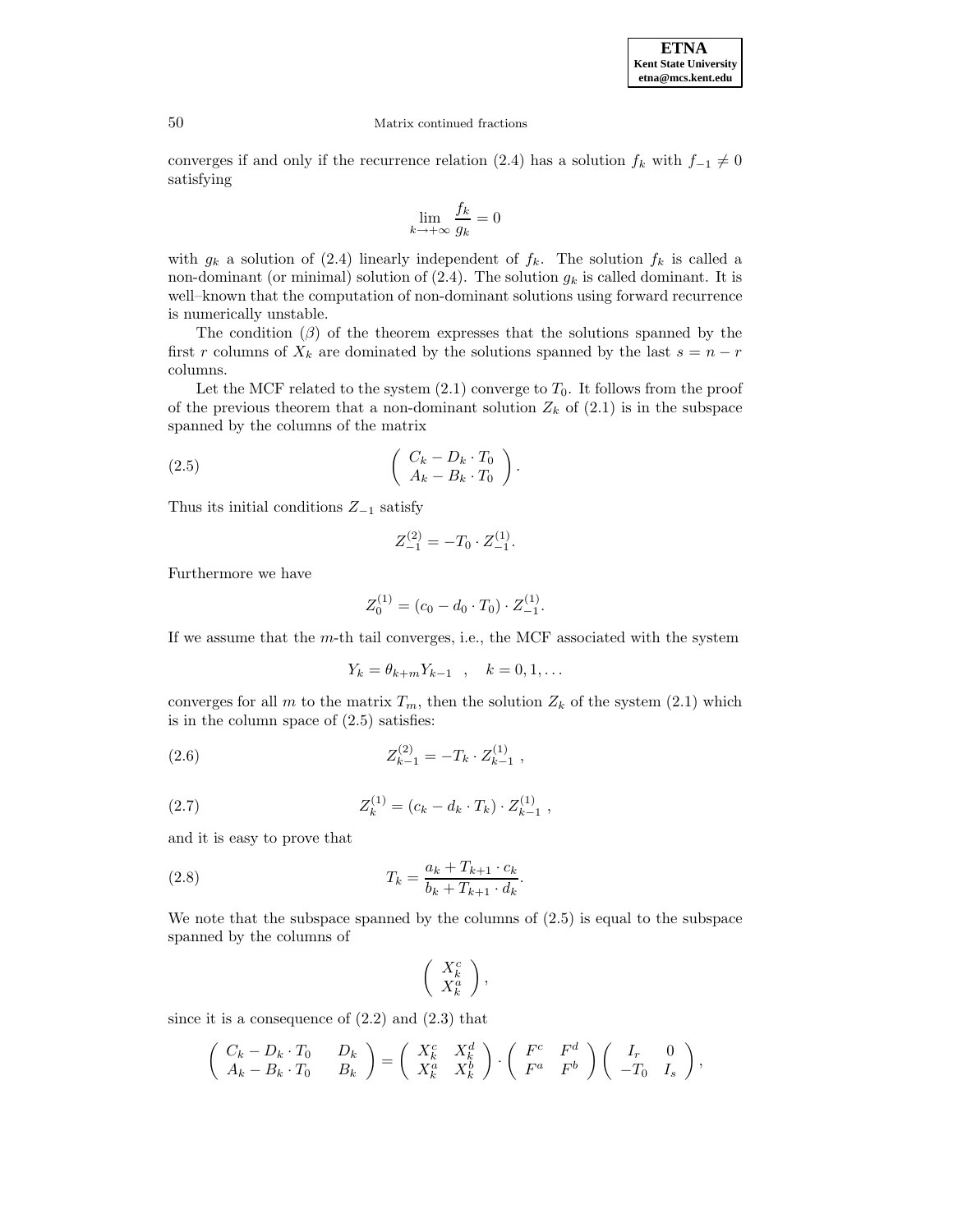

converges if and only if the recurrence relation (2.4) has a solution  $f_k$  with  $f_{-1} \neq 0$ satisfying

$$
\lim_{k \to +\infty} \frac{f_k}{g_k} = 0
$$

with  $g_k$  a solution of (2.4) linearly independent of  $f_k$ . The solution  $f_k$  is called a non-dominant (or minimal) solution of  $(2.4)$ . The solution  $g_k$  is called dominant. It is well–known that the computation of non-dominant solutions using forward recurrence is numerically unstable.

The condition  $(\beta)$  of the theorem expresses that the solutions spanned by the first r columns of  $X_k$  are dominated by the solutions spanned by the last  $s = n - r$ columns.

Let the MCF related to the system  $(2.1)$  converge to  $T_0$ . It follows from the proof of the previous theorem that a non-dominant solution  $Z_k$  of  $(2.1)$  is in the subspace spanned by the columns of the matrix

$$
(2.5) \qquad \qquad \left(\begin{array}{c} C_k - D_k \cdot T_0 \\ A_k - B_k \cdot T_0 \end{array}\right).
$$

Thus its initial conditions  $Z_{-1}$  satisfy

$$
Z_{-1}^{(2)} = -T_0 \cdot Z_{-1}^{(1)}.
$$

Furthermore we have

$$
Z_0^{(1)} = (c_0 - d_0 \cdot T_0) \cdot Z_{-1}^{(1)}.
$$

If we assume that the  $m$ -th tail converges, i.e., the MCF associated with the system

$$
Y_k = \theta_{k+m} Y_{k-1} \quad , \quad k = 0, 1, \dots
$$

converges for all m to the matrix  $T_m$ , then the solution  $Z_k$  of the system (2.1) which is in the column space of  $(2.5)$  satisfies:

(2.6) 
$$
Z_{k-1}^{(2)} = -T_k \cdot Z_{k-1}^{(1)} ,
$$

(2.7) 
$$
Z_k^{(1)} = (c_k - d_k \cdot T_k) \cdot Z_{k-1}^{(1)},
$$

and it is easy to prove that

(2.8) 
$$
T_k = \frac{a_k + T_{k+1} \cdot c_k}{b_k + T_{k+1} \cdot d_k}.
$$

We note that the subspace spanned by the columns of (2.5) is equal to the subspace spanned by the columns of

$$
\left(\begin{array}{c} X_k^c \\ X_k^a \end{array}\right),
$$

since it is a consequence of  $(2.2)$  and  $(2.3)$  that

$$
\left(\begin{array}{cc} C_k - D_k \cdot T_0 & D_k \\ A_k - B_k \cdot T_0 & B_k \end{array}\right) = \left(\begin{array}{cc} X_k^c & X_k^d \\ X_k^a & X_k^b \end{array}\right) \cdot \left(\begin{array}{cc} F^c & F^d \\ F^a & F^b \end{array}\right) \left(\begin{array}{cc} I_r & 0 \\ -T_0 & I_s \end{array}\right),
$$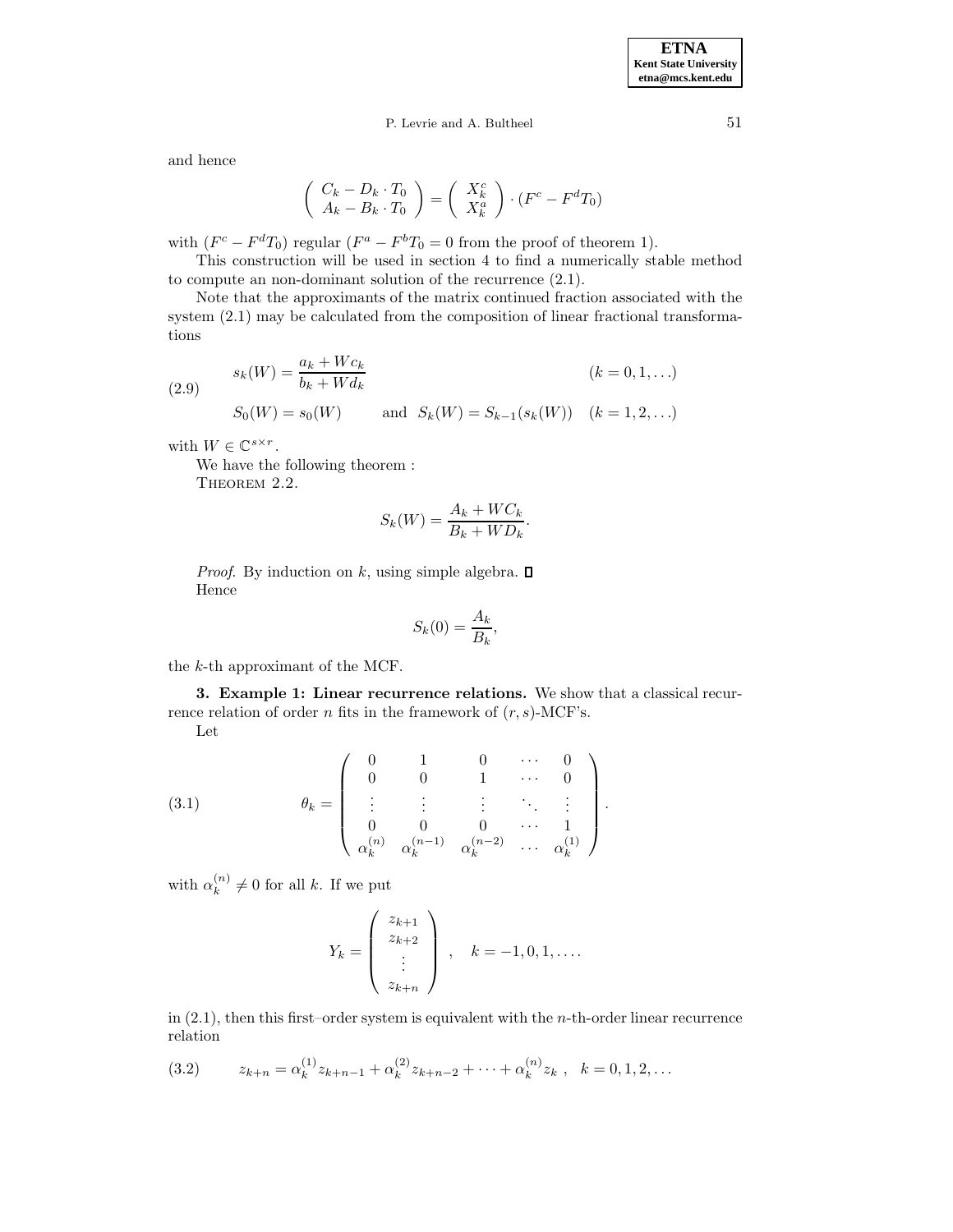# P. Levrie and A. Bultheel 51

and hence

$$
\left(\begin{array}{c} C_k - D_k \cdot T_0 \\ A_k - B_k \cdot T_0 \end{array}\right) = \left(\begin{array}{c} X_k^c \\ X_k^a \end{array}\right) \cdot (F^c - F^d T_0)
$$

with  $(F<sup>c</sup> - F<sup>d</sup>T<sub>0</sub>)$  regular  $(F<sup>a</sup> - F<sup>b</sup>T<sub>0</sub> = 0$  from the proof of theorem 1).

This construction will be used in section 4 to find a numerically stable method to compute an non-dominant solution of the recurrence (2.1).

Note that the approximants of the matrix continued fraction associated with the system (2.1) may be calculated from the composition of linear fractional transformations

(2.9) 
$$
s_k(W) = \frac{a_k + Wc_k}{b_k + Wd_k}
$$

$$
S_0(W) = s_0(W) \quad \text{and} \quad S_k(W) = S_{k-1}(s_k(W)) \quad (k = 1, 2, ...)
$$

with  $W \in \mathbb{C}^{s \times r}$ .

We have the following theorem :

THEOREM 2.2.

$$
S_k(W) = \frac{A_k + WC_k}{B_k + WD_k}.
$$

*Proof.* By induction on k, using simple algebra.  $\square$ Hence

$$
S_k(0) = \frac{A_k}{B_k},
$$

the k-th approximant of the MCF.

**3. Example 1: Linear recurrence relations.** We show that a classical recurrence relation of order n fits in the framework of  $(r, s)$ -MCF's. Let

(3.1) 
$$
\theta_k = \begin{pmatrix} 0 & 1 & 0 & \cdots & 0 \\ 0 & 0 & 1 & \cdots & 0 \\ \vdots & \vdots & \vdots & \ddots & \vdots \\ 0 & 0 & 0 & \cdots & 1 \\ \alpha_k^{(n)} & \alpha_k^{(n-1)} & \alpha_k^{(n-2)} & \cdots & \alpha_k^{(1)} \end{pmatrix}.
$$

with  $\alpha_k^{(n)} \neq 0$  for all k. If we put

$$
Y_k = \begin{pmatrix} z_{k+1} \\ z_{k+2} \\ \vdots \\ z_{k+n} \end{pmatrix}, \quad k = -1, 0, 1, \dots
$$

in  $(2.1)$ , then this first–order system is equivalent with the *n*-th-order linear recurrence relation

$$
(3.2) \t z_{k+n} = \alpha_k^{(1)} z_{k+n-1} + \alpha_k^{(2)} z_{k+n-2} + \dots + \alpha_k^{(n)} z_k, \quad k = 0, 1, 2, \dots
$$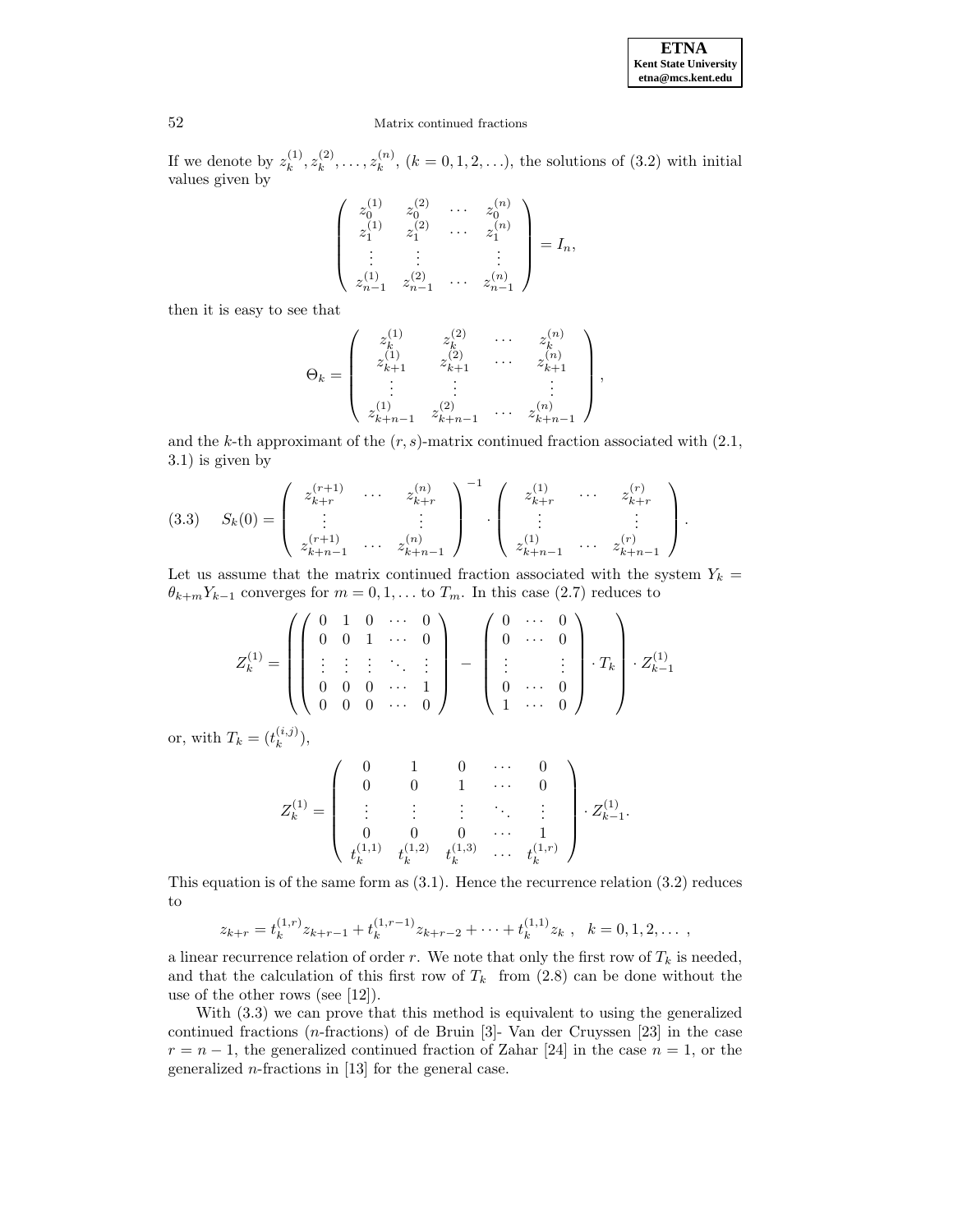If we denote by  $z_k^{(1)}, z_k^{(2)}, \ldots, z_k^{(n)}$ ,  $(k = 0, 1, 2, \ldots)$ , the solutions of  $(3.2)$  with initial values given by

$$
\begin{pmatrix} z_0^{(1)} & z_0^{(2)} & \cdots & z_0^{(n)} \\ z_1^{(1)} & z_1^{(2)} & \cdots & z_1^{(n)} \\ \vdots & \vdots & & \vdots \\ z_{n-1}^{(1)} & z_{n-1}^{(2)} & \cdots & z_{n-1}^{(n)} \end{pmatrix} = I_n,
$$

then it is easy to see that

$$
\Theta_k = \begin{pmatrix} z_k^{(1)} & z_k^{(2)} & \cdots & z_k^{(n)} \\ z_{k+1}^{(1)} & z_{k+1}^{(2)} & \cdots & z_{k+1}^{(n)} \\ \vdots & \vdots & & \vdots \\ z_{k+n-1}^{(1)} & z_{k+n-1}^{(2)} & \cdots & z_{k+n-1}^{(n)} \end{pmatrix},
$$

and the k-th approximant of the  $(r, s)$ -matrix continued fraction associated with  $(2.1,$ 3.1) is given by

$$
(3.3) \quad S_k(0) = \begin{pmatrix} z_{k+r}^{(r+1)} & \cdots & z_{k+r}^{(n)} \\ \vdots & & \vdots \\ z_{k+n-1}^{(r+1)} & \cdots & z_{k+n-1}^{(n)} \end{pmatrix}^{-1} \cdot \begin{pmatrix} z_{k+r}^{(1)} & \cdots & z_{k+r}^{(r)} \\ \vdots & & \vdots \\ z_{k+n-1}^{(1)} & \cdots & z_{k+n-1}^{(r)} \end{pmatrix}.
$$

Let us assume that the matrix continued fraction associated with the system  $Y_k =$  $\theta_{k+m}Y_{k-1}$  converges for  $m = 0, 1, \ldots$  to  $T_m$ . In this case (2.7) reduces to

$$
Z_k^{(1)} = \left( \left( \begin{array}{cccc} 0 & 1 & 0 & \cdots & 0 \\ 0 & 0 & 1 & \cdots & 0 \\ \vdots & \vdots & \vdots & \ddots & \vdots \\ 0 & 0 & 0 & \cdots & 1 \\ 0 & 0 & 0 & \cdots & 0 \end{array} \right) - \left( \begin{array}{cccc} 0 & \cdots & 0 \\ 0 & \cdots & 0 \\ \vdots & & \vdots \\ 0 & \cdots & 0 \end{array} \right) \cdot T_k \right) \cdot Z_{k-1}^{(1)}
$$

or, with  $T_k = (t_k^{(i,j)}),$ 

$$
Z_k^{(1)}=\left(\begin{array}{ccccc}0&1&0&\cdots&0\\0&0&1&\cdots&0\\ \vdots&\vdots&\vdots&\ddots&\vdots\\0&0&0&\cdots&1\\t_k^{(1,1)}&t_k^{(1,2)}&t_k^{(1,3)}&\cdots&t_k^{(1,r)}\end{array}\right)\cdot Z_{k-1}^{(1)}.
$$

This equation is of the same form as  $(3.1)$ . Hence the recurrence relation  $(3.2)$  reduces to

$$
z_{k+r} = t_k^{(1,r)} z_{k+r-1} + t_k^{(1,r-1)} z_{k+r-2} + \cdots + t_k^{(1,1)} z_k, \quad k = 0, 1, 2, \ldots
$$

a linear recurrence relation of order r. We note that only the first row of  $T_k$  is needed, and that the calculation of this first row of  $T_k$  from (2.8) can be done without the use of the other rows (see [12]).

With (3.3) we can prove that this method is equivalent to using the generalized continued fractions (n-fractions) of de Bruin [3]- Van der Cruyssen [23] in the case  $r = n - 1$ , the generalized continued fraction of Zahar [24] in the case  $n = 1$ , or the generalized  $n$ -fractions in [13] for the general case.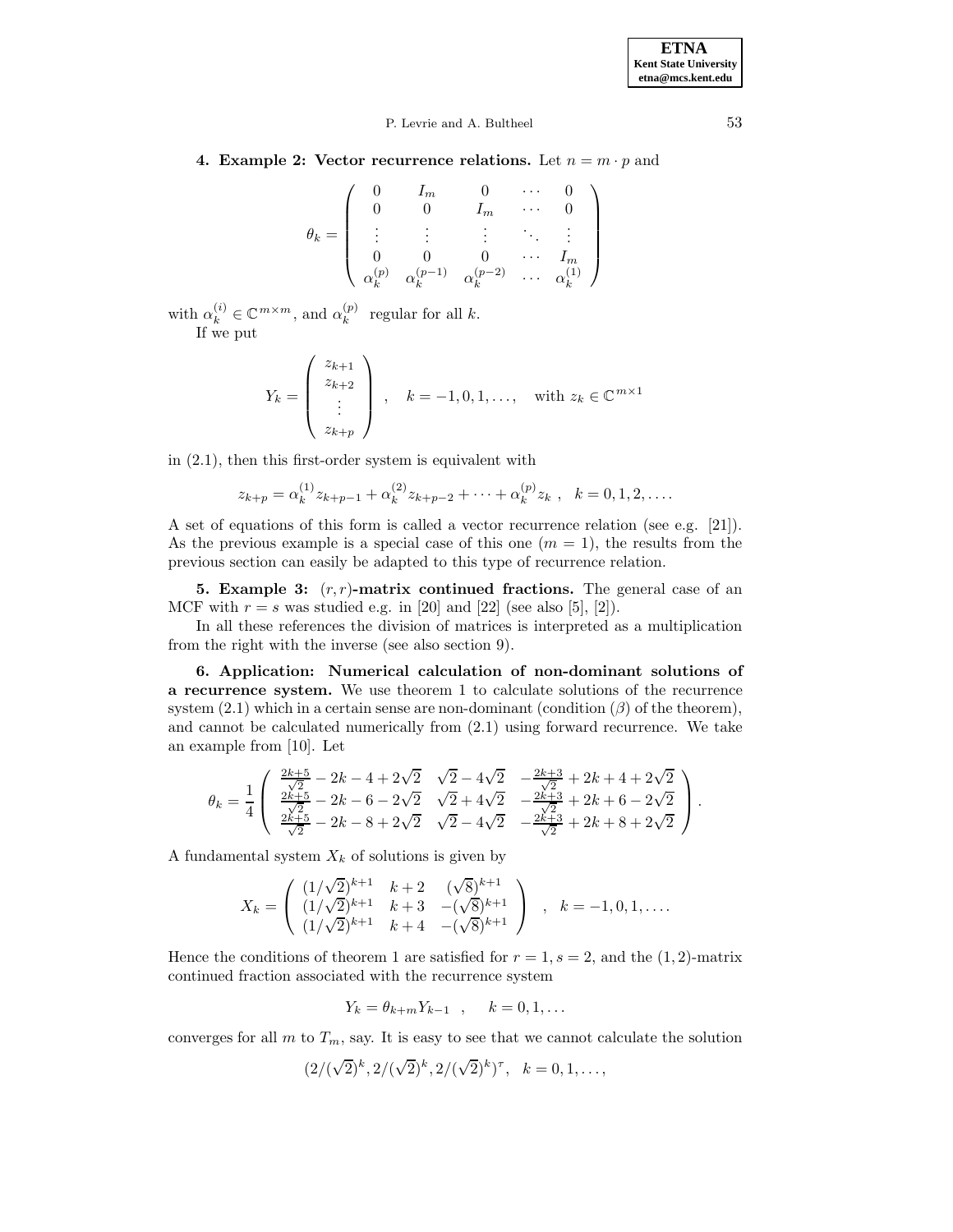**4. Example 2: Vector recurrence relations.** Let  $n = m \cdot p$  and

$$
\theta_k = \left( \begin{array}{ccccc} 0 & I_m & 0 & \cdots & 0 \\ 0 & 0 & I_m & \cdots & 0 \\ \vdots & \vdots & \vdots & \ddots & \vdots \\ 0 & 0 & 0 & \cdots & I_m \\ \alpha_k^{(p)} & \alpha_k^{(p-1)} & \alpha_k^{(p-2)} & \cdots & \alpha_k^{(1)} \end{array} \right)
$$

with  $\alpha_k^{(i)} \in \mathbb{C}^{m \times m}$ , and  $\alpha_k^{(p)}$  regular for all k. If we put

$$
Y_k = \begin{pmatrix} z_{k+1} \\ z_{k+2} \\ \vdots \\ z_{k+p} \end{pmatrix}, \quad k = -1, 0, 1, \dots, \quad \text{with } z_k \in \mathbb{C}^{m \times 1}
$$

in (2.1), then this first-order system is equivalent with

$$
z_{k+p} = \alpha_k^{(1)} z_{k+p-1} + \alpha_k^{(2)} z_{k+p-2} + \dots + \alpha_k^{(p)} z_k, \quad k = 0, 1, 2, \dots
$$

A set of equations of this form is called a vector recurrence relation (see e.g. [21]). As the previous example is a special case of this one  $(m = 1)$ , the results from the previous section can easily be adapted to this type of recurrence relation.

**5. Example 3:**  $(r, r)$ -matrix continued fractions. The general case of an MCF with  $r = s$  was studied e.g. in [20] and [22] (see also [5], [2]).

In all these references the division of matrices is interpreted as a multiplication from the right with the inverse (see also section 9).

**6. Application: Numerical calculation of non-dominant solutions of a recurrence system.** We use theorem 1 to calculate solutions of the recurrence system  $(2.1)$  which in a certain sense are non-dominant (condition  $(\beta)$  of the theorem), and cannot be calculated numerically from (2.1) using forward recurrence. We take an example from [10]. Let

$$
\theta_k = \frac{1}{4} \left( \begin{array}{l} \frac{2k+5}{\sqrt{2}} - 2k - 4 + 2\sqrt{2} & \sqrt{2} - 4\sqrt{2} & -\frac{2k+3}{\sqrt{2}} + 2k + 4 + 2\sqrt{2} \\ \frac{2k+5}{\sqrt{2}} - 2k - 6 - 2\sqrt{2} & \sqrt{2} + 4\sqrt{2} & -\frac{2k+3}{\sqrt{2}} + 2k + 6 - 2\sqrt{2} \\ \frac{2k+5}{\sqrt{2}} - 2k - 8 + 2\sqrt{2} & \sqrt{2} - 4\sqrt{2} & -\frac{2k+3}{\sqrt{2}} + 2k + 8 + 2\sqrt{2} \end{array} \right).
$$

A fundamental system  $X_k$  of solutions is given by

$$
X_k = \begin{pmatrix} (1/\sqrt{2})^{k+1} & k+2 & (\sqrt{8})^{k+1} \\ (1/\sqrt{2})^{k+1} & k+3 & -(\sqrt{8})^{k+1} \\ (1/\sqrt{2})^{k+1} & k+4 & -(\sqrt{8})^{k+1} \end{pmatrix} , k = -1, 0, 1, ....
$$

Hence the conditions of theorem 1 are satisfied for  $r = 1$ ,  $s = 2$ , and the  $(1, 2)$ -matrix continued fraction associated with the recurrence system

$$
Y_k = \theta_{k+m} Y_{k-1} , \quad k = 0, 1, \dots
$$

converges for all m to  $T_m$ , say. It is easy to see that we cannot calculate the solution

$$
(2/(\sqrt{2})^k, 2/(\sqrt{2})^k, 2/(\sqrt{2})^k)^{\tau}, \quad k = 0, 1, \dots,
$$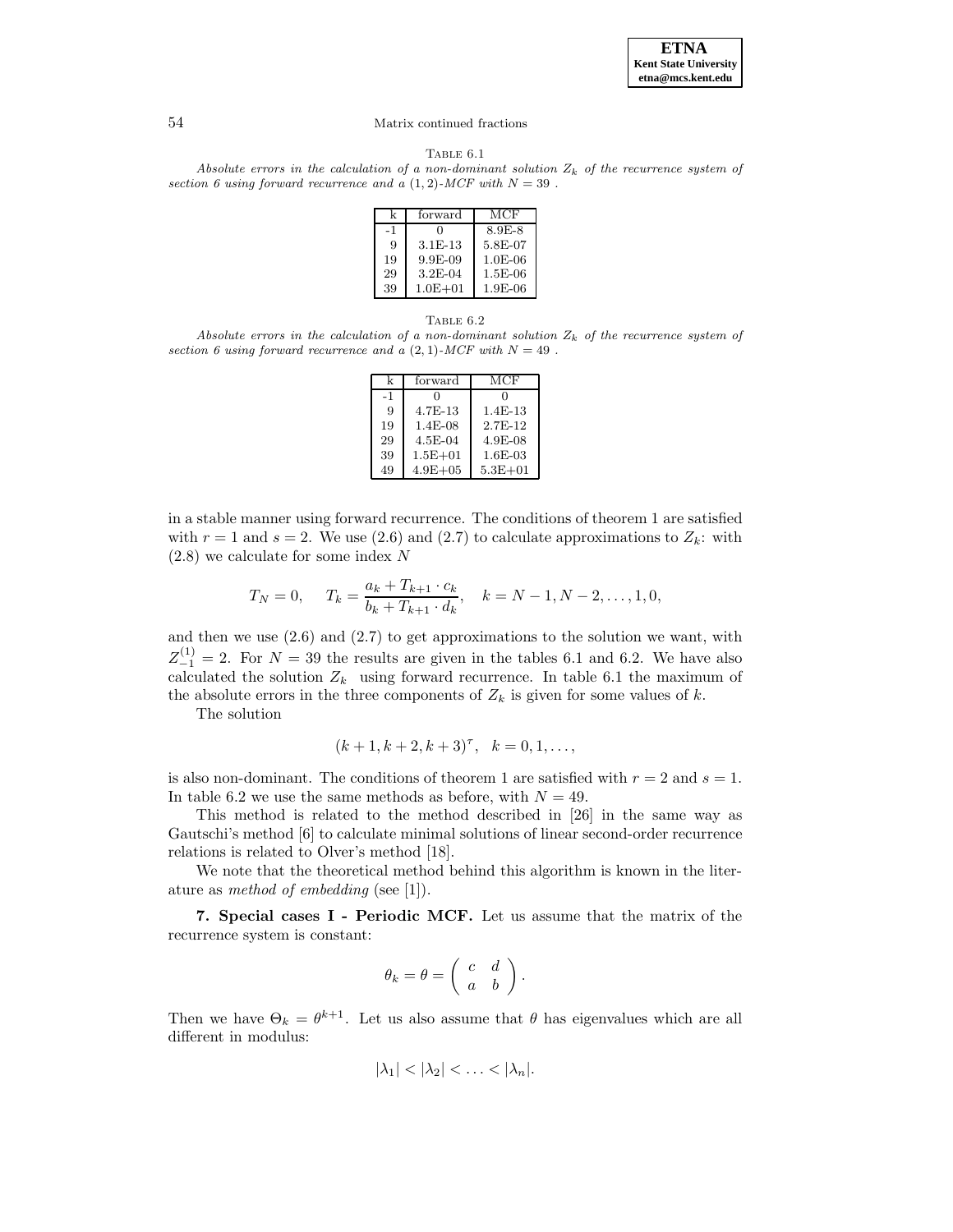

TABLE  $6.1$ 

Absolute errors in the calculation of a non-dominant solution  $Z_k$  of the recurrence system of section 6 using forward recurrence and a  $(1, 2)$ -MCF with  $N = 39$ .

| k    | forward     | MCF       |
|------|-------------|-----------|
| $-1$ | U           | 8.9E-8    |
| 9    | $3.1E-13$   | 5.8E-07   |
| 19   | $9.9E-09$   | $1.0E-06$ |
| 29   | $3.2E-04$   | $1.5E-06$ |
| 39   | $1.0E + 01$ | $1.9E-06$ |

#### TABLE  $6.2$

Absolute errors in the calculation of a non-dominant solution  $Z_k$  of the recurrence system of section 6 using forward recurrence and  $\alpha$  (2, 1)-MCF with  $N = 49$ .

| k    | forward      | MCF         |
|------|--------------|-------------|
| $-1$ | ∩            |             |
| 9    | $4.7E-13$    | $1.4E-13$   |
| 19   | $1.4E-08$    | $2.7F-12$   |
| 29   | 4.5E-04      | 4.9E-08     |
| 39   | $1.5E + 01$  | $1.6E-03$   |
| 49   | $4.9E + 0.5$ | $5.3E + 01$ |

in a stable manner using forward recurrence. The conditions of theorem 1 are satisfied with  $r = 1$  and  $s = 2$ . We use (2.6) and (2.7) to calculate approximations to  $Z_k$ : with (2.8) we calculate for some index N

$$
T_N = 0, \quad T_k = \frac{a_k + T_{k+1} \cdot c_k}{b_k + T_{k+1} \cdot d_k}, \quad k = N - 1, N - 2, \dots, 1, 0,
$$

and then we use  $(2.6)$  and  $(2.7)$  to get approximations to the solution we want, with  $Z_{-1}^{(1)} = 2$ . For  $N = 39$  the results are given in the tables 6.1 and 6.2. We have also calculated the solution  $Z_k$  using forward recurrence. In table 6.1 the maximum of the absolute errors in the three components of  $Z_k$  is given for some values of k.

The solution

$$
(k+1, k+2, k+3)^{\tau}, k = 0, 1, ...,
$$

is also non-dominant. The conditions of theorem 1 are satisfied with  $r = 2$  and  $s = 1$ . In table 6.2 we use the same methods as before, with  $N = 49$ .

This method is related to the method described in [26] in the same way as Gautschi's method [6] to calculate minimal solutions of linear second-order recurrence relations is related to Olver's method [18].

We note that the theoretical method behind this algorithm is known in the literature as method of embedding (see [1]).

**7. Special cases I - Periodic MCF.** Let us assume that the matrix of the recurrence system is constant:

$$
\theta_k = \theta = \left( \begin{array}{cc} c & d \\ a & b \end{array} \right).
$$

Then we have  $\Theta_k = \theta^{k+1}$ . Let us also assume that  $\theta$  has eigenvalues which are all different in modulus:

$$
|\lambda_1| < |\lambda_2| < \ldots < |\lambda_n|.
$$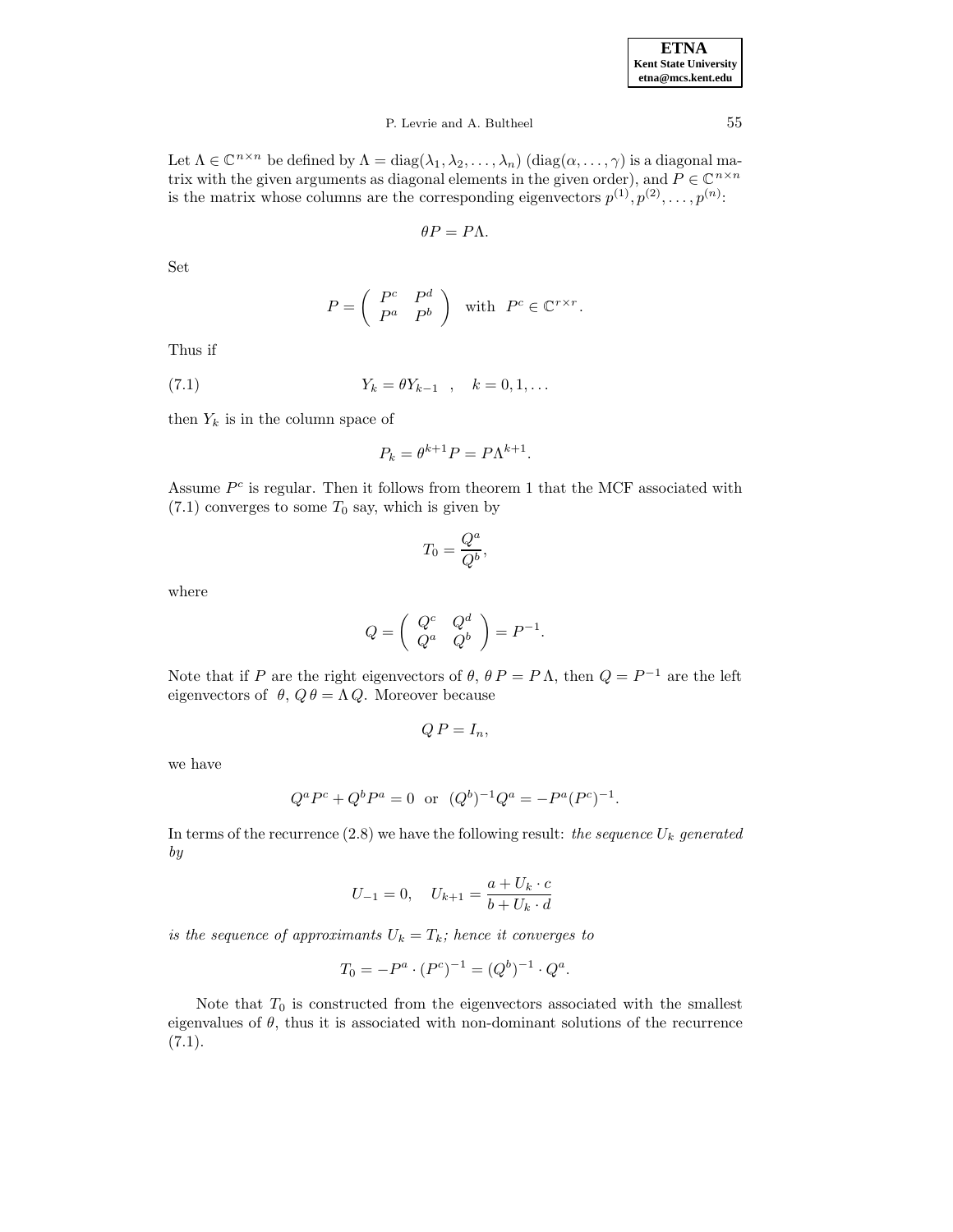| <b>ETNA</b>                  |
|------------------------------|
| <b>Kent State University</b> |
| etna@mcs.kent.edu            |

Let  $\Lambda \in \mathbb{C}^{n \times n}$  be defined by  $\Lambda = \text{diag}(\lambda_1, \lambda_2, \dots, \lambda_n)$   $(\text{diag}(\alpha, \dots, \gamma))$  is a diagonal matrix with the given arguments as diagonal elements in the given order), and  $P \in \mathbb{C}^{n \times n}$ is the matrix whose columns are the corresponding eigenvectors  $p^{(1)}, p^{(2)}, \ldots, p^{(n)}$ :

$$
\theta P=P\Lambda.
$$

Set

$$
P = \left( \begin{array}{cc} P^c & P^d \\ P^a & P^b \end{array} \right) \quad \text{with} \quad P^c \in \mathbb{C}^{r \times r}.
$$

Thus if

(7.1) 
$$
Y_k = \theta Y_{k-1} , \quad k = 0, 1, ...
$$

then  $Y_k$  is in the column space of

$$
P_k = \theta^{k+1} P = P \Lambda^{k+1}.
$$

Assume  $P<sup>c</sup>$  is regular. Then it follows from theorem 1 that the MCF associated with  $(7.1)$  converges to some  $T_0$  say, which is given by

$$
T_0 = \frac{Q^a}{Q^b},
$$

where

$$
Q = \left( \begin{array}{cc} Q^c & Q^d \\ Q^a & Q^b \end{array} \right) = P^{-1}.
$$

Note that if P are the right eigenvectors of  $\theta$ ,  $\theta P = P \Lambda$ , then  $Q = P^{-1}$  are the left eigenvectors of  $\theta$ ,  $Q\theta = \Lambda Q$ . Moreover because

$$
Q P = I_n,
$$

we have

$$
Q^a P^c + Q^b P^a = 0
$$
 or  $(Q^b)^{-1} Q^a = -P^a (P^c)^{-1}$ .

In terms of the recurrence  $(2.8)$  we have the following result: the sequence  $U_k$  generated by

$$
U_{-1} = 0, \quad U_{k+1} = \frac{a + U_k \cdot c}{b + U_k \cdot d}
$$

is the sequence of approximants  $U_k = T_k$ ; hence it converges to

$$
T_0 = -P^a \cdot (P^c)^{-1} = (Q^b)^{-1} \cdot Q^a.
$$

Note that  $T_0$  is constructed from the eigenvectors associated with the smallest eigenvalues of  $\theta$ , thus it is associated with non-dominant solutions of the recurrence  $(7.1).$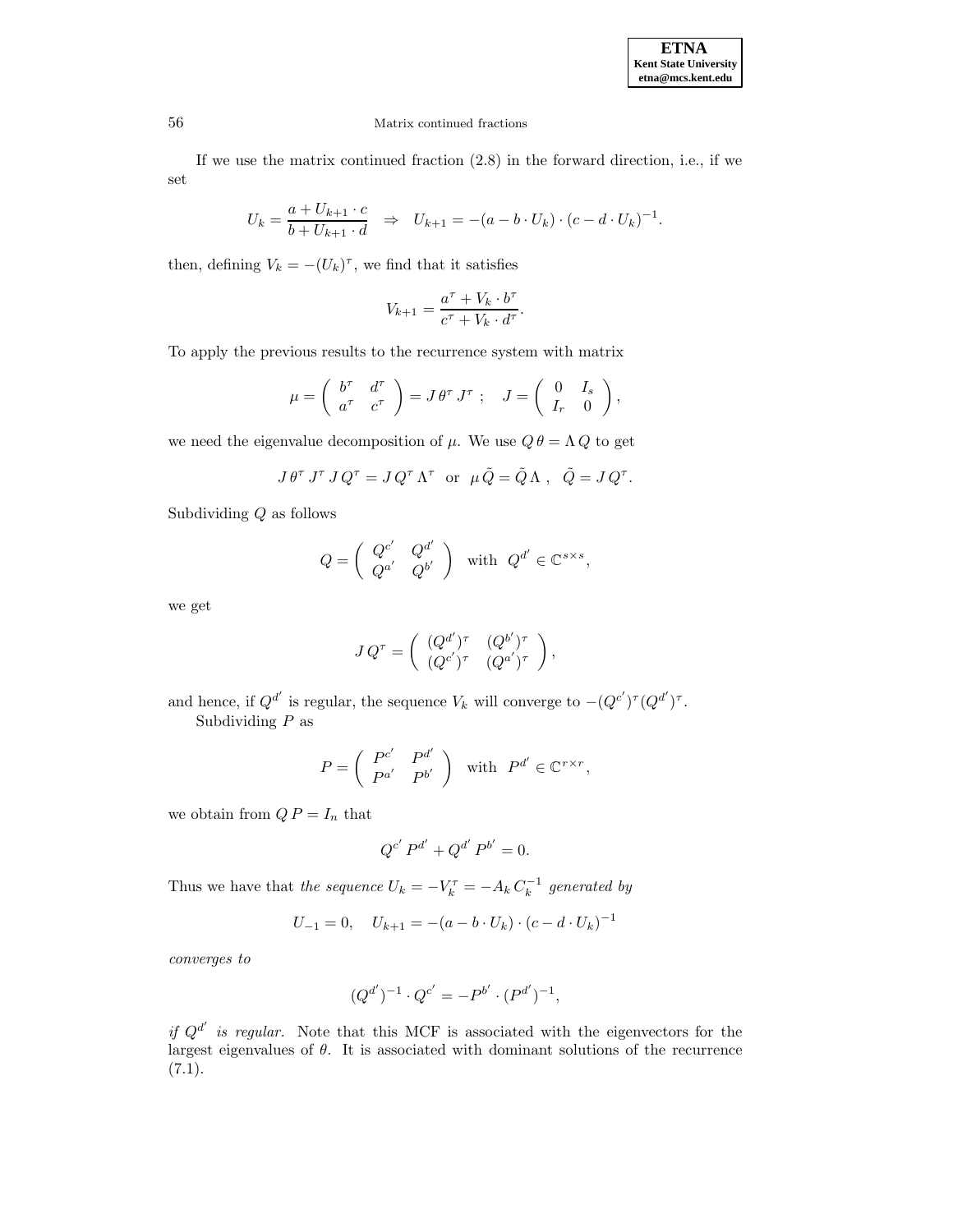# 56 Matrix continued fractions

If we use the matrix continued fraction (2.8) in the forward direction, i.e., if we set

$$
U_k = \frac{a + U_{k+1} \cdot c}{b + U_{k+1} \cdot d} \Rightarrow U_{k+1} = -(a - b \cdot U_k) \cdot (c - d \cdot U_k)^{-1}.
$$

then, defining  $V_k = -(U_k)^{\tau}$ , we find that it satisfies

$$
V_{k+1} = \frac{a^{\tau} + V_k \cdot b^{\tau}}{c^{\tau} + V_k \cdot d^{\tau}}.
$$

To apply the previous results to the recurrence system with matrix

$$
\mu = \begin{pmatrix} b^{\tau} & d^{\tau} \\ a^{\tau} & c^{\tau} \end{pmatrix} = J \theta^{\tau} J^{\tau} ; J = \begin{pmatrix} 0 & I_s \\ I_r & 0 \end{pmatrix},
$$

we need the eigenvalue decomposition of  $\mu$ . We use  $Q \theta = \Lambda Q$  to get

$$
J \theta^{\tau} J^{\tau} J Q^{\tau} = J Q^{\tau} \Lambda^{\tau} \text{ or } \mu \tilde{Q} = \tilde{Q} \Lambda , \quad \tilde{Q} = J Q^{\tau}.
$$

Subdividing Q as follows

$$
Q = \left( \begin{array}{cc} Q^{c'} & Q^{d'} \\ Q^{a'} & Q^{b'} \end{array} \right) \text{ with } Q^{d'} \in \mathbb{C}^{s \times s},
$$

we get

$$
J Q^{\tau} = \begin{pmatrix} (Q^{d'})^{\tau} & (Q^{b'})^{\tau} \\ (Q^{c'})^{\tau} & (Q^{a'})^{\tau} \end{pmatrix},
$$

and hence, if  $Q^{d'}$  is regular, the sequence  $V_k$  will converge to  $-(Q^{c'})^{\tau}(Q^{d'})^{\tau}$ . Subdividing  $P$  as

$$
P = \left( \begin{array}{cc} P^{c'} & P^{d'} \\ P^{a'} & P^{b'} \end{array} \right) \quad \text{with} \quad P^{d'} \in \mathbb{C}^{r \times r},
$$

we obtain from  $QP = I_n$  that

$$
Q^{c'} P^{d'} + Q^{d'} P^{b'} = 0.
$$

Thus we have that the sequence  $U_k = -V_k^{\tau} = -A_k C_k^{-1}$  generated by

$$
U_{-1} = 0, \quad U_{k+1} = -(a - b \cdot U_k) \cdot (c - d \cdot U_k)^{-1}
$$

converges to

$$
(Q^{d'})^{-1} \cdot Q^{c'} = -P^{b'} \cdot (P^{d'})^{-1},
$$

if  $Q^{d'}$  is regular. Note that this MCF is associated with the eigenvectors for the largest eigenvalues of  $\theta$ . It is associated with dominant solutions of the recurrence  $(7.1).$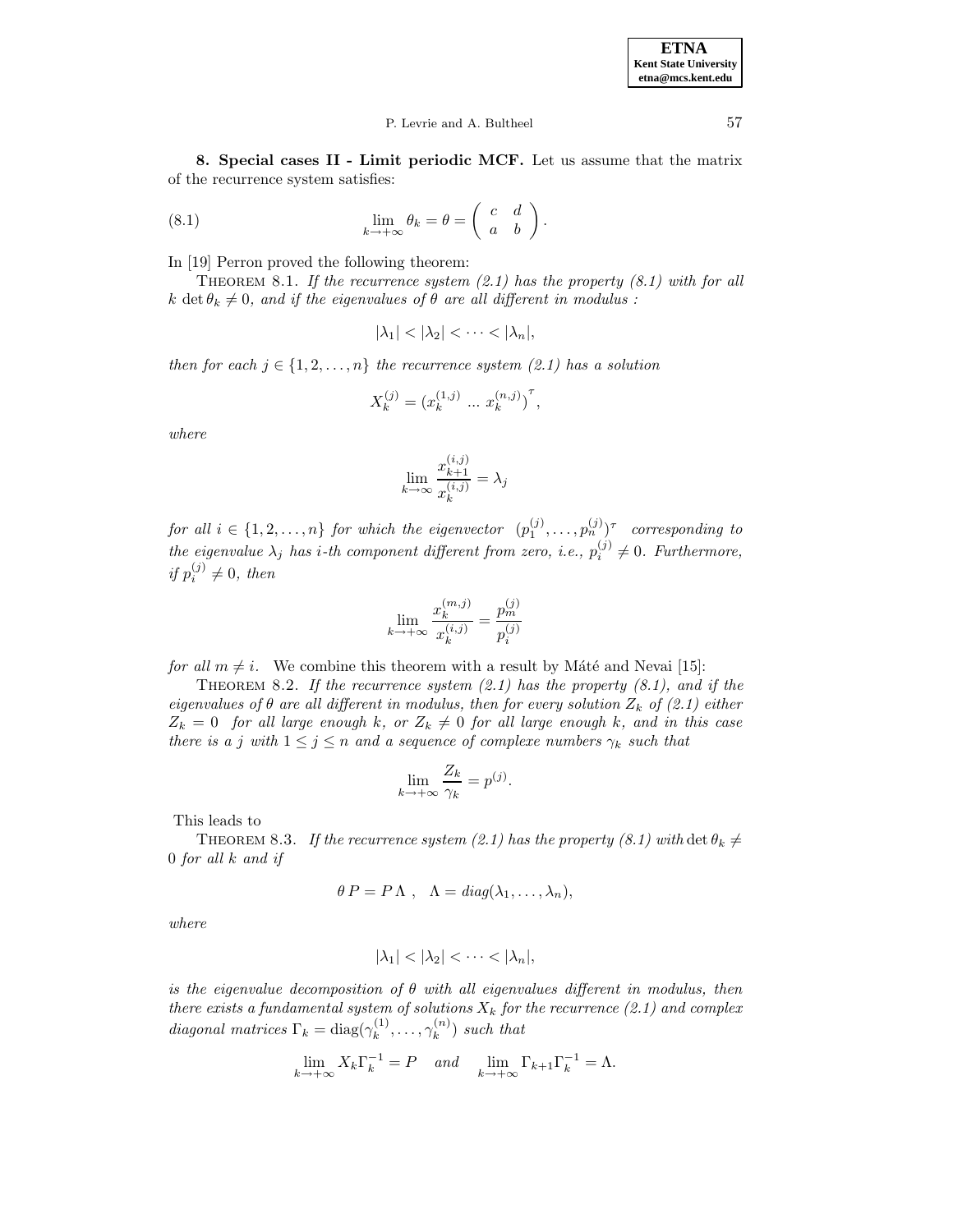#### P. Levrie and A. Bultheel 57

**8. Special cases II - Limit periodic MCF.** Let us assume that the matrix of the recurrence system satisfies:

(8.1) 
$$
\lim_{k \to +\infty} \theta_k = \theta = \begin{pmatrix} c & d \\ a & b \end{pmatrix}.
$$

In [19] Perron proved the following theorem:

THEOREM 8.1. If the recurrence system  $(2.1)$  has the property  $(8.1)$  with for all k det  $\theta_k \neq 0$ , and if the eigenvalues of  $\theta$  are all different in modulus :

$$
|\lambda_1| < |\lambda_2| < \cdots < |\lambda_n|,
$$

then for each  $j \in \{1, 2, ..., n\}$  the recurrence system (2.1) has a solution

$$
X_k^{(j)} = (x_k^{(1,j)} \dots x_k^{(n,j)})^{\tau},
$$

where

$$
\lim_{k \to \infty} \frac{x_{k+1}^{(i,j)}}{x_k^{(i,j)}} = \lambda_j
$$

for all  $i \in \{1, 2, ..., n\}$  for which the eigenvector  $(p_1^{(j)}, ..., p_n^{(j)})^\tau$  corresponding to the eigenvalue  $\lambda_j$  has *i*-th component different from zero, *i.e.*,  $p_i^{(j)} \neq 0$ . Furthermore, if  $p_i^{(j)} \neq 0$ , then

$$
\lim_{k \to +\infty} \frac{x_k^{(m,j)}}{x_k^{(i,j)}} = \frac{p_m^{(j)}}{p_i^{(j)}}
$$

for all  $m \neq i$ . We combine this theorem with a result by Máté and Nevai [15]:

THEOREM 8.2. If the recurrence system  $(2.1)$  has the property  $(8.1)$ , and if the eigenvalues of  $\theta$  are all different in modulus, then for every solution  $Z_k$  of (2.1) either  $Z_k = 0$  for all large enough k, or  $Z_k \neq 0$  for all large enough k, and in this case there is a j with  $1 \leq j \leq n$  and a sequence of complexe numbers  $\gamma_k$  such that

$$
\lim_{k \to +\infty} \frac{Z_k}{\gamma_k} = p^{(j)}.
$$

This leads to

THEOREM 8.3. If the recurrence system (2.1) has the property (8.1) with det  $\theta_k \neq$ 0 for all k and if

$$
\theta P = P \Lambda , \quad \Lambda = diag(\lambda_1, \ldots, \lambda_n),
$$

where

$$
|\lambda_1| < |\lambda_2| < \cdots < |\lambda_n|,
$$

is the eigenvalue decomposition of  $\theta$  with all eigenvalues different in modulus, then there exists a fundamental system of solutions  $X_k$  for the recurrence (2.1) and complex diagonal matrices  $\Gamma_k = \text{diag}(\gamma_k^{(1)}, \dots, \gamma_k^{(n)})$  such that

$$
\lim_{k \to +\infty} X_k \Gamma_k^{-1} = P \quad and \quad \lim_{k \to +\infty} \Gamma_{k+1} \Gamma_k^{-1} = \Lambda.
$$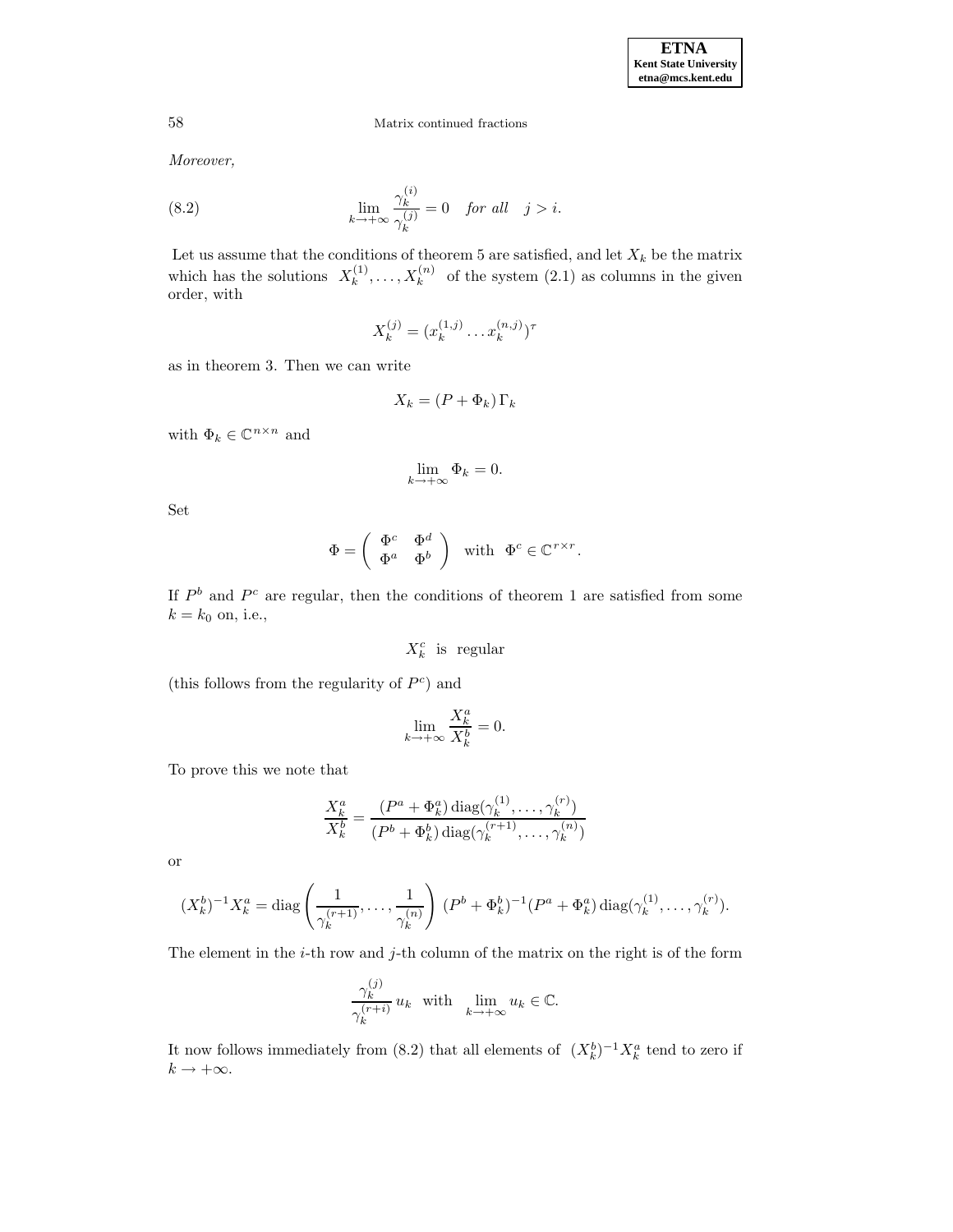Moreover,

(8.2) 
$$
\lim_{k \to +\infty} \frac{\gamma_k^{(i)}}{\gamma_k^{(j)}} = 0 \quad \text{for all} \quad j > i.
$$

Let us assume that the conditions of theorem 5 are satisfied, and let  $X_k$  be the matrix which has the solutions  $X_k^{(1)}, \ldots, X_k^{(n)}$  of the system  $(2.1)$  as columns in the given order, with

$$
X_k^{(j)} = (x_k^{(1,j)} \dots x_k^{(n,j)})^\tau
$$

as in theorem 3. Then we can write

$$
X_k = (P + \Phi_k) \Gamma_k
$$

with  $\Phi_k \in \mathbb{C}^{n \times n}$  and  $$\text{lim}$$ 

$$
\lim_{k \to +\infty} \Phi_k = 0.
$$

Set

$$
\Phi = \left( \begin{array}{cc} \Phi^c & \Phi^d \\ \Phi^a & \Phi^b \end{array} \right) \quad \text{with} \quad \Phi^c \in \mathbb{C}^{r \times r}.
$$

If  $P<sup>b</sup>$  and  $P<sup>c</sup>$  are regular, then the conditions of theorem 1 are satisfied from some  $k = k_0$  on, i.e.,

 $X_k^c$  is regular

(this follows from the regularity of  $P^c$ ) and

$$
\lim_{k \to +\infty} \frac{X_k^a}{X_k^b} = 0.
$$

To prove this we note that

$$
\frac{X_k^a}{X_k^b} = \frac{(P^a + \Phi_k^a) \operatorname{diag}(\gamma_k^{(1)}, \dots, \gamma_k^{(r)})}{(P^b + \Phi_k^b) \operatorname{diag}(\gamma_k^{(r+1)}, \dots, \gamma_k^{(n)})}
$$

or

$$
(X_k^b)^{-1} X_k^a = \text{diag}\left(\frac{1}{\gamma_k^{(r+1)}}, \dots, \frac{1}{\gamma_k^{(n)}}\right) (P^b + \Phi_k^b)^{-1} (P^a + \Phi_k^a) \text{diag}(\gamma_k^{(1)}, \dots, \gamma_k^{(r)}).
$$

The element in the  $i$ -th row and  $j$ -th column of the matrix on the right is of the form

$$
\frac{\gamma_k^{(j)}}{\gamma_k^{(r+i)}} u_k \quad \text{with} \quad \lim_{k \to +\infty} u_k \in \mathbb{C}.
$$

It now follows immediately from (8.2) that all elements of  $(X_k^b)^{-1} X_k^a$  tend to zero if  $k\rightarrow +\infty.$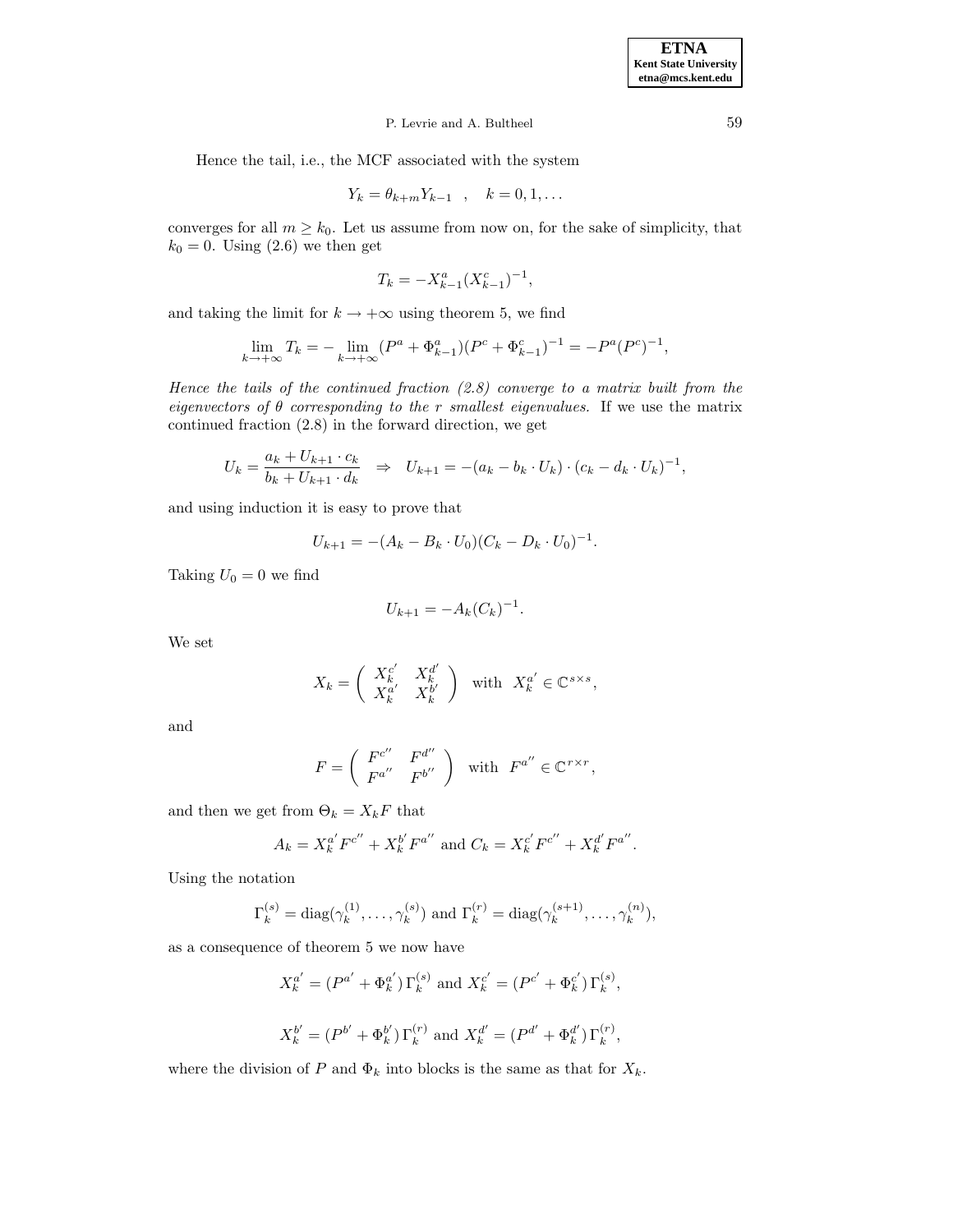Hence the tail, i.e., the MCF associated with the system

$$
Y_k = \theta_{k+m} Y_{k-1} \quad , \quad k = 0, 1, \dots
$$

converges for all  $m \geq k_0$ . Let us assume from now on, for the sake of simplicity, that  $k_0 = 0$ . Using  $(2.6)$  we then get

$$
T_k = -X_{k-1}^a (X_{k-1}^c)^{-1},
$$

and taking the limit for  $k \to +\infty$  using theorem 5, we find

$$
\lim_{k \to +\infty} T_k = -\lim_{k \to +\infty} (P^a + \Phi^a_{k-1})(P^c + \Phi^c_{k-1})^{-1} = -P^a (P^c)^{-1},
$$

Hence the tails of the continued fraction  $(2.8)$  converge to a matrix built from the eigenvectors of  $\theta$  corresponding to the r smallest eigenvalues. If we use the matrix continued fraction (2.8) in the forward direction, we get

$$
U_k = \frac{a_k + U_{k+1} \cdot c_k}{b_k + U_{k+1} \cdot d_k} \Rightarrow U_{k+1} = -(a_k - b_k \cdot U_k) \cdot (c_k - d_k \cdot U_k)^{-1},
$$

and using induction it is easy to prove that

$$
U_{k+1} = -(A_k - B_k \cdot U_0)(C_k - D_k \cdot U_0)^{-1}.
$$

Taking  $U_0 = 0$  we find

$$
U_{k+1} = -A_k (C_k)^{-1}.
$$

We set

$$
X_k = \begin{pmatrix} X_k^{c'} & X_k^{d'} \\ X_k^{a'} & X_k^{b'} \end{pmatrix} \text{ with } X_k^{a'} \in \mathbb{C}^{s \times s},
$$

and

$$
F = \begin{pmatrix} F^{c''} & F^{d''} \\ F^{a''} & F^{b''} \end{pmatrix} \text{ with } F^{a''} \in \mathbb{C}^{r \times r},
$$

and then we get from  $\Theta_k = X_k F$  that

$$
A_k = X_k^{a'} F^{c''} + X_k^{b'} F^{a''}
$$
 and  $C_k = X_k^{c'} F^{c''} + X_k^{d'} F^{a''}$ .

Using the notation

$$
\Gamma_k^{(s)} = \text{diag}(\gamma_k^{(1)}, \dots, \gamma_k^{(s)})
$$
 and  $\Gamma_k^{(r)} = \text{diag}(\gamma_k^{(s+1)}, \dots, \gamma_k^{(n)}),$ 

as a consequence of theorem 5 we now have

$$
X_k^{a'} = (P^{a'} + \Phi_k^{a'}) \Gamma_k^{(s)} \text{ and } X_k^{c'} = (P^{c'} + \Phi_k^{c'}) \Gamma_k^{(s)},
$$
  

$$
X_k^{b'} = (P^{b'} + \Phi_k^{b'}) \Gamma_k^{(r)} \text{ and } X_k^{a'} = (P^{a'} + \Phi_k^{a'}) \Gamma_k^{(r)},
$$

where the division of P and  $\Phi_k$  into blocks is the same as that for  $X_k$ .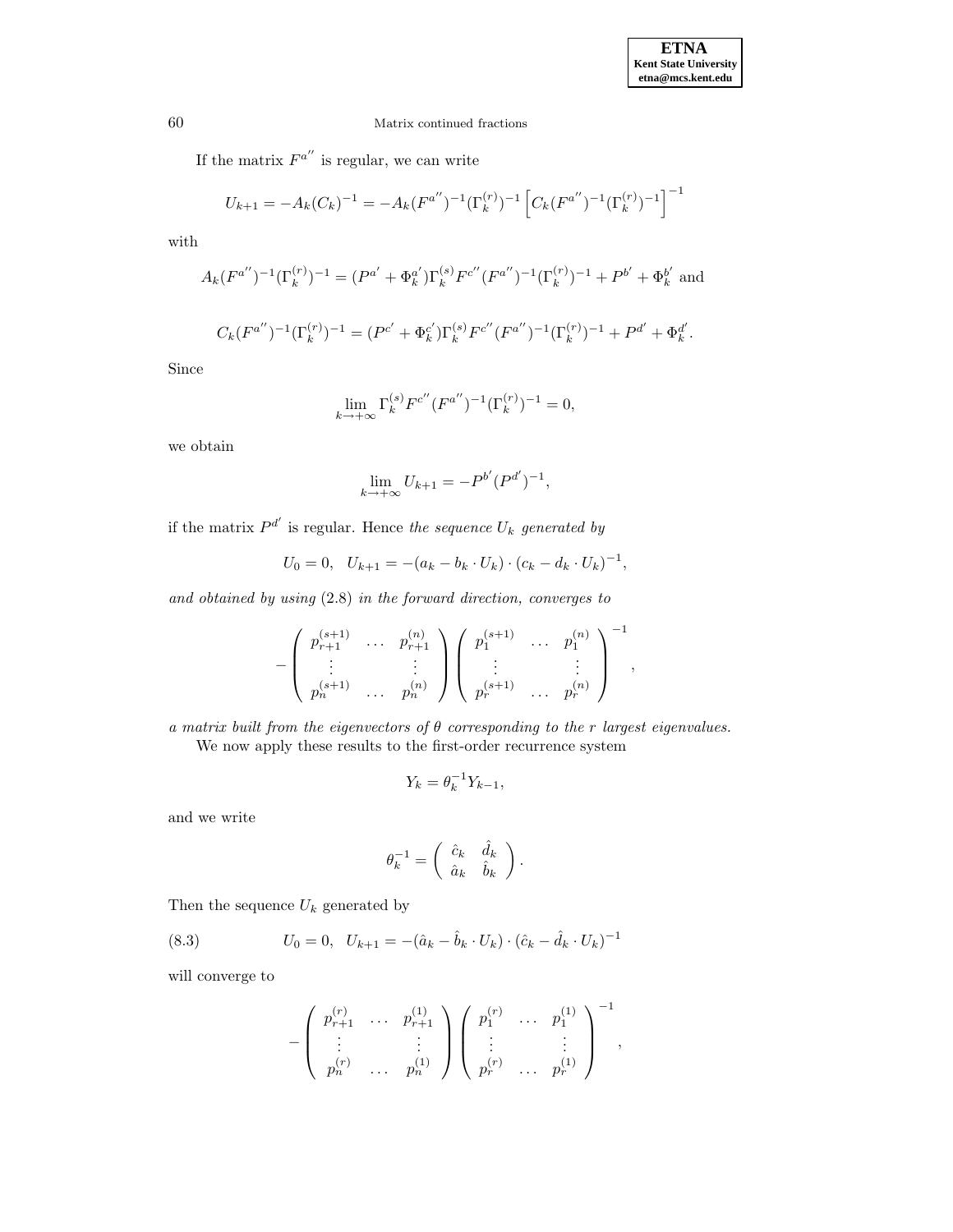If the matrix  $F^{a''}$  is regular, we can write

$$
U_{k+1} = -A_k (C_k)^{-1} = -A_k (F^{a''})^{-1} (\Gamma_k^{(r)})^{-1} \left[ C_k (F^{a''})^{-1} (\Gamma_k^{(r)})^{-1} \right]^{-1}
$$

with

$$
A_k(F^{a''})^{-1}(\Gamma_k^{(r)})^{-1} = (P^{a'} + \Phi_k^{a'})\Gamma_k^{(s)}F^{c''}(F^{a''})^{-1}(\Gamma_k^{(r)})^{-1} + P^{b'} + \Phi_k^{b'}
$$
 and

$$
C_k(F^{a''})^{-1}(\Gamma_k^{(r)})^{-1} = (P^{c'} + \Phi_k^{c'})\Gamma_k^{(s)}F^{c''}(F^{a''})^{-1}(\Gamma_k^{(r)})^{-1} + P^{d'} + \Phi_k^{d'}.
$$

Since

$$
\lim_{k \to +\infty} \Gamma_k^{(s)} F^{c''} (F^{a''})^{-1} (\Gamma_k^{(r)})^{-1} = 0,
$$

we obtain

$$
\lim_{k \to +\infty} U_{k+1} = -P^{b'}(P^{d'})^{-1},
$$

if the matrix  $P^{d'}$  is regular. Hence the sequence  $U_k$  generated by

$$
U_0 = 0, \quad U_{k+1} = -(a_k - b_k \cdot U_k) \cdot (c_k - d_k \cdot U_k)^{-1},
$$

and obtained by using (2.8) in the forward direction, converges to

$$
-\left(\begin{array}{ccc} p_{r+1}^{(s+1)} & \ldots & p_{r+1}^{(n)} \\ \vdots & & \vdots \\ p_n^{(s+1)} & \ldots & p_n^{(n)} \end{array}\right)\left(\begin{array}{ccc} p_1^{(s+1)} & \ldots & p_1^{(n)} \\ \vdots & & \vdots \\ p_r^{(s+1)} & \ldots & p_r^{(n)} \end{array}\right)^{-1},
$$

a matrix built from the eigenvectors of  $\theta$  corresponding to the r largest eigenvalues. We now apply these results to the first-order recurrence system

$$
Y_k = \theta_k^{-1} Y_{k-1},
$$

and we write

$$
\theta_k^{-1} = \left( \begin{array}{cc} \hat{c}_k & \hat{d}_k \\ \hat{a}_k & \hat{b}_k \end{array} \right).
$$

Then the sequence  $U_k$  generated by

(8.3) 
$$
U_0 = 0, \quad U_{k+1} = -(\hat{a}_k - \hat{b}_k \cdot U_k) \cdot (\hat{c}_k - \hat{d}_k \cdot U_k)^{-1}
$$

will converge to

$$
-\left(\begin{array}{ccc} p_{r+1}^{(r)} & \ldots & p_{r+1}^{(1)} \\ \vdots & & \vdots \\ p_n^{(r)} & \ldots & p_n^{(1)} \end{array}\right)\left(\begin{array}{ccc} p_1^{(r)} & \ldots & p_1^{(1)} \\ \vdots & & \vdots \\ p_r^{(r)} & \ldots & p_r^{(1)} \end{array}\right)^{-1},
$$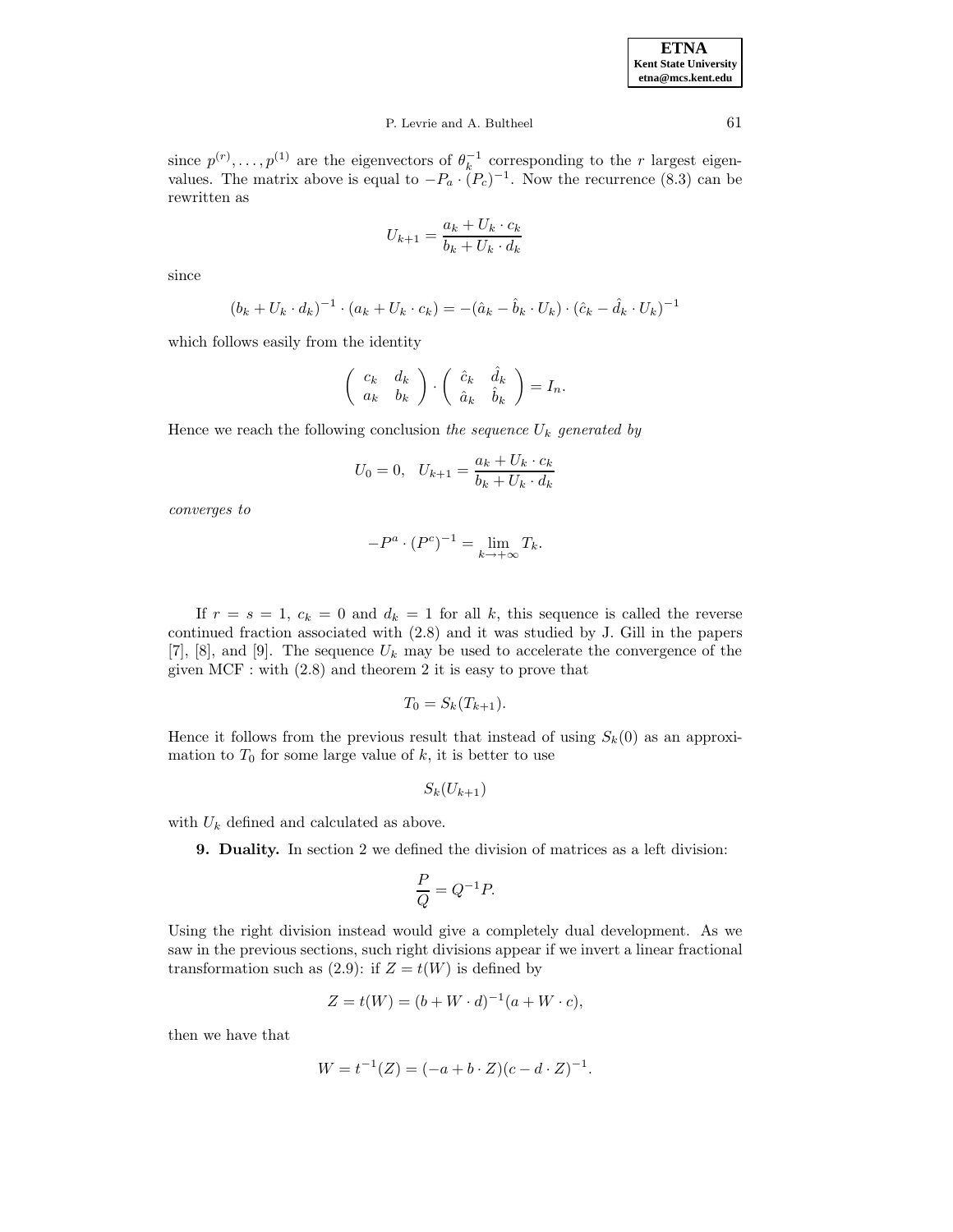# P. Levrie and A. Bultheel 61

since  $p^{(r)}, \ldots, p^{(1)}$  are the eigenvectors of  $\theta_k^{-1}$  corresponding to the r largest eigenvalues. The matrix above is equal to  $-P_a \cdot (P_c)^{-1}$ . Now the recurrence (8.3) can be rewritten as

$$
U_{k+1} = \frac{a_k + U_k \cdot c_k}{b_k + U_k \cdot d_k}
$$

since

$$
(b_k + U_k \cdot d_k)^{-1} \cdot (a_k + U_k \cdot c_k) = -(\hat{a}_k - \hat{b}_k \cdot U_k) \cdot (\hat{c}_k - \hat{d}_k \cdot U_k)^{-1}
$$

which follows easily from the identity

$$
\left(\begin{array}{cc} c_k & d_k \\ a_k & b_k \end{array}\right) \cdot \left(\begin{array}{cc} \hat{c}_k & \hat{d}_k \\ \hat{a}_k & \hat{b}_k \end{array}\right) = I_n.
$$

Hence we reach the following conclusion the sequence  $U_k$  generated by

$$
U_0 = 0, \quad U_{k+1} = \frac{a_k + U_k \cdot c_k}{b_k + U_k \cdot d_k}
$$

converges to

$$
-P^a \cdot (P^c)^{-1} = \lim_{k \to +\infty} T_k.
$$

If  $r = s = 1$ ,  $c_k = 0$  and  $d_k = 1$  for all k, this sequence is called the reverse continued fraction associated with (2.8) and it was studied by J. Gill in the papers [7], [8], and [9]. The sequence  $U_k$  may be used to accelerate the convergence of the given MCF : with (2.8) and theorem 2 it is easy to prove that

$$
T_0 = S_k(T_{k+1}).
$$

Hence it follows from the previous result that instead of using  $S_k(0)$  as an approximation to  $T_0$  for some large value of k, it is better to use

$$
S_k(U_{k+1})
$$

with  $U_k$  defined and calculated as above.

**9. Duality.** In section 2 we defined the division of matrices as a left division:

$$
\frac{P}{Q} = Q^{-1}P.
$$

Using the right division instead would give a completely dual development. As we saw in the previous sections, such right divisions appear if we invert a linear fractional transformation such as  $(2.9)$ : if  $Z = t(W)$  is defined by

$$
Z = t(W) = (b + W \cdot d)^{-1}(a + W \cdot c),
$$

then we have that

$$
W = t^{-1}(Z) = (-a + b \cdot Z)(c - d \cdot Z)^{-1}.
$$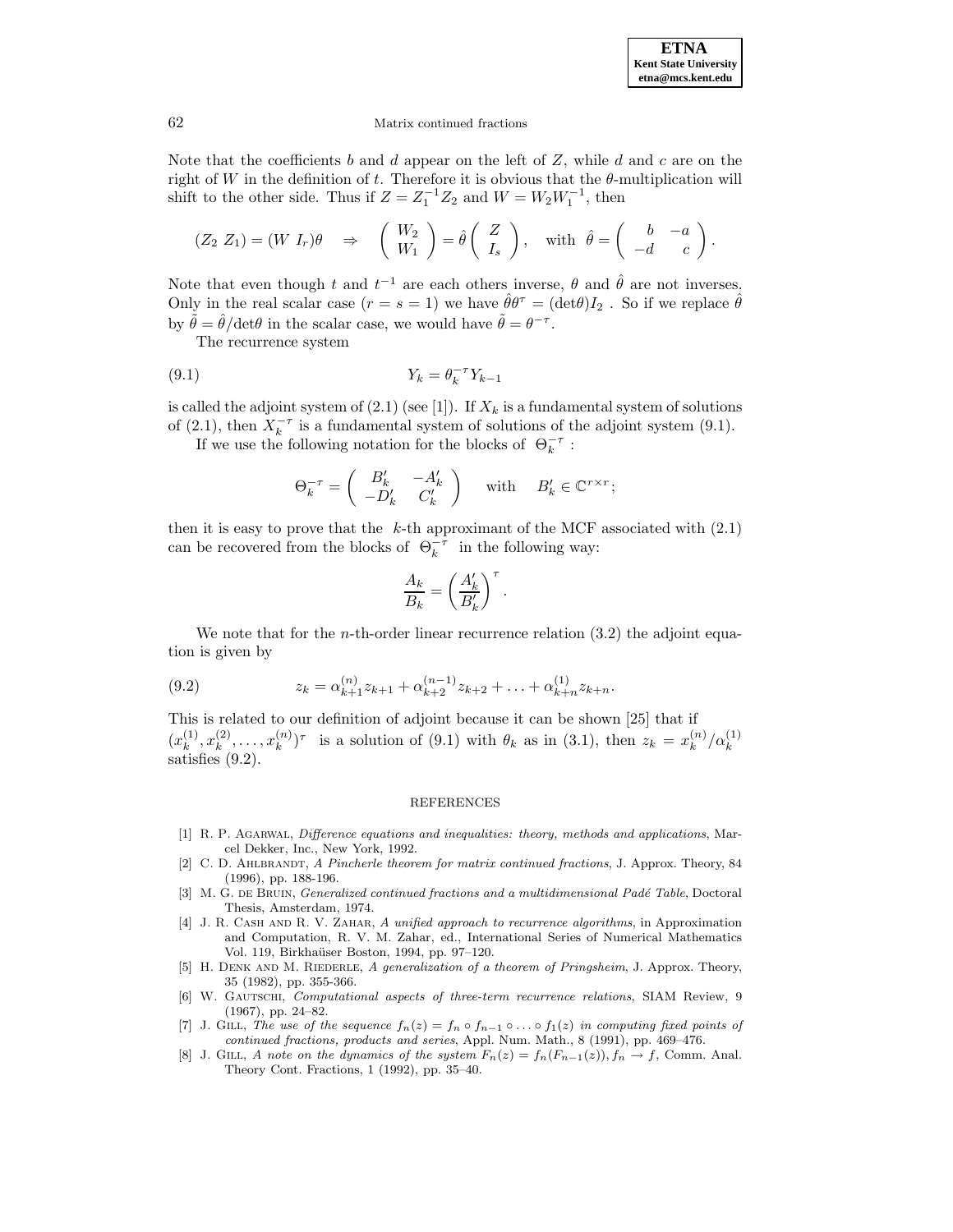Note that the coefficients b and d appear on the left of  $Z$ , while d and c are on the right of W in the definition of t. Therefore it is obvious that the  $\theta$ -multiplication will shift to the other side. Thus if  $Z = Z_1^{-1}Z_2$  and  $W = W_2W_1^{-1}$ , then

$$
(Z_2 Z_1) = (W I_r)\theta \Rightarrow \begin{pmatrix} W_2 \\ W_1 \end{pmatrix} = \hat{\theta} \begin{pmatrix} Z \\ I_s \end{pmatrix}, \text{ with } \hat{\theta} = \begin{pmatrix} b & -a \\ -d & c \end{pmatrix}.
$$

Note that even though t and  $t^{-1}$  are each others inverse,  $\theta$  and  $\hat{\theta}$  are not inverses. Only in the real scalar case  $(r = s = 1)$  we have  $\hat{\theta} \theta^{\tau} = (\det \theta) I_2$ . So if we replace  $\hat{\theta}$ by  $\tilde{\theta} = \hat{\theta}/\text{det}\theta$  in the scalar case, we would have  $\tilde{\theta} = \theta^{-\tau}$ .

The recurrence system

$$
(9.1)\t\t Y_k = \theta_k^{-\tau} Y_{k-1}
$$

is called the adjoint system of  $(2.1)$  (see [1]). If  $X_k$  is a fundamental system of solutions of (2.1), then  $X_k^{-\tau}$  is a fundamental system of solutions of the adjoint system (9.1).

If we use the following notation for the blocks of  $\Theta_k^{-\tau}$ :

$$
\Theta_k^{-\tau} = \begin{pmatrix} B'_k & -A'_k \\ -D'_k & C'_k \end{pmatrix} \quad \text{with} \quad B'_k \in \mathbb{C}^{r \times r};
$$

then it is easy to prove that the  $k$ -th approximant of the MCF associated with  $(2.1)$ can be recovered from the blocks of  $\Theta_k^{-\tau}$  in the following way:

$$
\frac{A_k}{B_k} = \left(\frac{A'_k}{B'_k}\right)^\tau.
$$

We note that for the *n*-th-order linear recurrence relation  $(3.2)$  the adjoint equation is given by

(9.2) 
$$
z_k = \alpha_{k+1}^{(n)} z_{k+1} + \alpha_{k+2}^{(n-1)} z_{k+2} + \ldots + \alpha_{k+n}^{(1)} z_{k+n}.
$$

This is related to our definition of adjoint because it can be shown [25] that if  $(x_k^{(1)}, x_k^{(2)}, \ldots, x_k^{(n)})^{\tau}$  is a solution of (9.1) with  $\theta_k$  as in (3.1), then  $z_k = x_k^{(n)}/\alpha_k^{(1)}$ satisfies (9.2).

#### REFERENCES

- [1] R. P. Agarwal, Difference equations and inequalities: theory, methods and applications, Marcel Dekker, Inc., New York, 1992.
- [2] C. D. AHLBRANDT, A Pincherle theorem for matrix continued fractions, J. Approx. Theory, 84 (1996), pp. 188-196.
- [3] M. G. DE BRUIN, *Generalized continued fractions and a multidimensional Padé Table*, Doctoral Thesis, Amsterdam, 1974.
- [4] J. R. CASH AND R. V. ZAHAR, A unified approach to recurrence algorithms, in Approximation and Computation, R. V. M. Zahar, ed., International Series of Numerical Mathematics Vol. 119, Birkhaüser Boston, 1994, pp. 97–120.
- [5] H. DENK AND M. RIEDERLE, A generalization of a theorem of Pringsheim, J. Approx. Theory, 35 (1982), pp. 355-366.
- [6] W. GAUTSCHI, Computational aspects of three-term recurrence relations, SIAM Review, 9 (1967), pp. 24–82.
- [7] J. GILL, The use of the sequence  $f_n(z) = f_n \circ f_{n-1} \circ \ldots \circ f_1(z)$  in computing fixed points of continued fractions, products and series, Appl. Num. Math., 8 (1991), pp. 469–476.
- [8] J. GILL, A note on the dynamics of the system  $F_n(z) = f_n(F_{n-1}(z)), f_n \to f$ , Comm. Anal. Theory Cont. Fractions, 1 (1992), pp. 35–40.